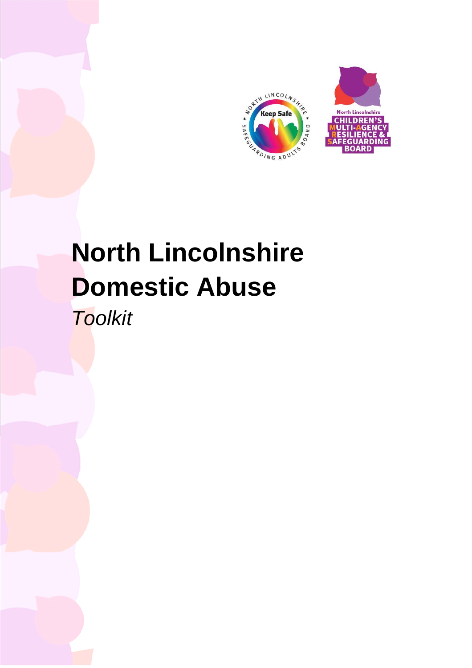

# **North Lincolnshire Domestic Abuse**

*Toolkit*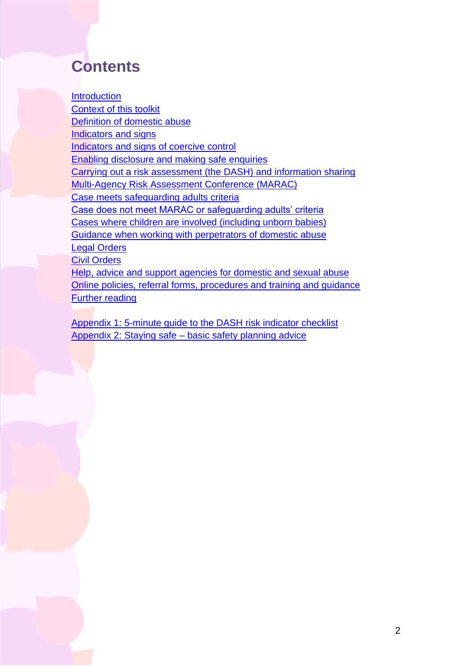# **Contents**

**Introduction** [Context of this toolkit](#page-4-0)  [Definition of domestic abuse](#page-5-0)  [Indicators and signs](#page-7-0)  [Indicators and signs of coercive control](#page-8-0)  [Enabling disclosure and making safe enquiries](#page-9-0)  [Carrying out a risk assessment \(the DASH\) and information sharing](#page-12-0)  [Multi-Agency Risk Assessment Conference \(MARAC\)](#page-14-0)  [Case meets safeguarding adults criteria](#page-16-0)  [Case does not meet MARAC or safeguarding adults' criteria](#page-16-1) [Cases where children are involved \(including unborn babies\)](#page-18-0)  [Guidance when working with perpetrators of domestic abuse](#page-19-0)  [Legal Orders](#page-22-0)  [Civil Orders](#page-24-0)  Help, advice and support agencies for domestic and sexual abuse [Online policies, referral forms, procedures and training and guidance](#page-37-0)  [Further reading](#page-38-0) 

 [Appendix 1: 5-minute guide to the DASH risk indicator checklist](#page-38-1)  Appendix 2: Staying safe – [basic safety planning advice](#page-44-0)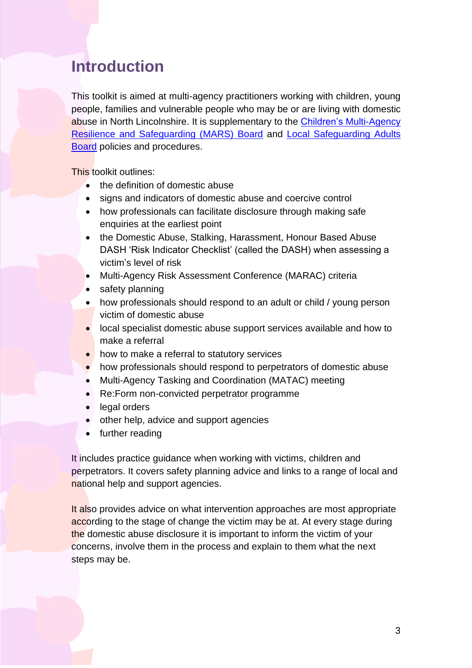### <span id="page-2-0"></span>**Introduction**

 This toolkit is aimed at multi-agency practitioners working with children, young people, families and vulnerable people who may be or are living with domestic [Resilience and Safeguarding \(MARS\) Board](https://www.northlincscmars.co.uk/policies-procedures-and-guidance/) and [Local Safeguarding Adults](http://www.northlincssab.co.uk/professionals/)  abuse in North Lincolnshire. It is supplementary to the Children's [Multi-Agency](https://www.northlincscmars.co.uk/policies-procedures-and-guidance/)  [Board](http://www.northlincssab.co.uk/professionals/) policies and procedures.

This toolkit outlines:

- the definition of domestic abuse
- signs and indicators of domestic abuse and coercive control
- • how professionals can facilitate disclosure through making safe enquiries at the earliest point
- DASH 'Risk Indicator Checklist' (called the DASH) when assessing a • the Domestic Abuse, Stalking, Harassment, Honour Based Abuse victim's level of risk
- Multi-Agency Risk Assessment Conference (MARAC) criteria
- safety planning
- • how professionals should respond to an adult or child / young person victim of domestic abuse
- • local specialist domestic abuse support services available and how to make a referral
- how to make a referral to statutory services
- how professionals should respond to perpetrators of domestic abuse
- Multi-Agency Tasking and Coordination (MATAC) meeting
- Re:Form non-convicted perpetrator programme
- legal orders
- other help, advice and support agencies
- further reading

 It includes practice guidance when working with victims, children and perpetrators. It covers safety planning advice and links to a range of local and national help and support agencies.

according to the stage of change the victim may be at. At every stage during It also provides advice on what intervention approaches are most appropriate the domestic abuse disclosure it is important to inform the victim of your concerns, involve them in the process and explain to them what the next steps may be.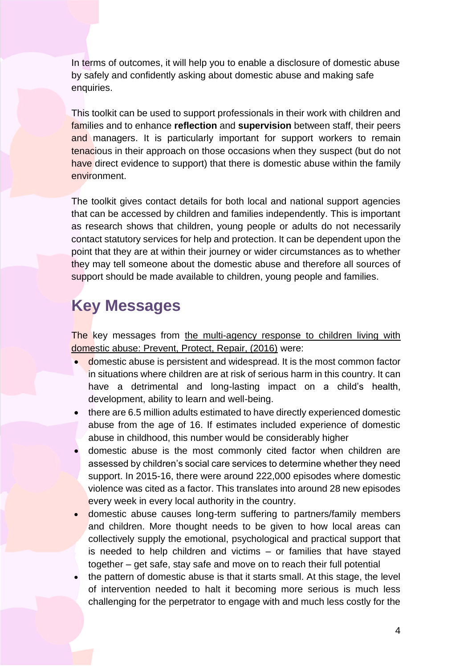In terms of outcomes, it will help you to enable a disclosure of domestic abuse by safely and confidently asking about domestic abuse and making safe enquiries.

 This toolkit can be used to support professionals in their work with children and families and to enhance **reflection** and **supervision** between staff, their peers and managers. It is particularly important for support workers to remain tenacious in their approach on those occasions when they suspect (but do not have direct evidence to support) that there is domestic abuse within the family environment.

 The toolkit gives contact details for both local and national support agencies that can be accessed by children and families independently. This is important contact statutory services for help and protection. It can be dependent upon the point that they are at within their journey or wider circumstances as to whether they may tell someone about the domestic abuse and therefore all sources of as research shows that children, young people or adults do not necessarily support should be made available to children, young people and families.

# **Key Messages**

The key messages from the multi-agency response to children living with [domestic abuse: Prevent, Protect, Repair, \(2016\)](https://assets.publishing.service.gov.uk/government/uploads/system/uploads/attachment_data/file/680671/JTAI_domestic_abuse_18_Sept_2017.pdf) were:

- domestic abuse is persistent and widespread. It is the most common factor in situations where children are at risk of serious harm in this country. It can have a detrimental and long-lasting impact on a child's health, development, ability to learn and well-being.
- • there are 6.5 million adults estimated to have directly experienced domestic abuse from the age of 16. If estimates included experience of domestic abuse in childhood, this number would be considerably higher
- • domestic abuse is the most commonly cited factor when children are assessed by children's social care services to determine whether they need violence was cited as a factor. This translates into around 28 new episodes support. In 2015-16, there were around 222,000 episodes where domestic every week in every local authority in the country.
- • domestic abuse causes long-term suffering to partners/family members and children. More thought needs to be given to how local areas can is needed to help children and victims – or families that have stayed together – get safe, stay safe and move on to reach their full potential collectively supply the emotional, psychological and practical support that
- • the pattern of domestic abuse is that it starts small. At this stage, the level of intervention needed to halt it becoming more serious is much less challenging for the perpetrator to engage with and much less costly for the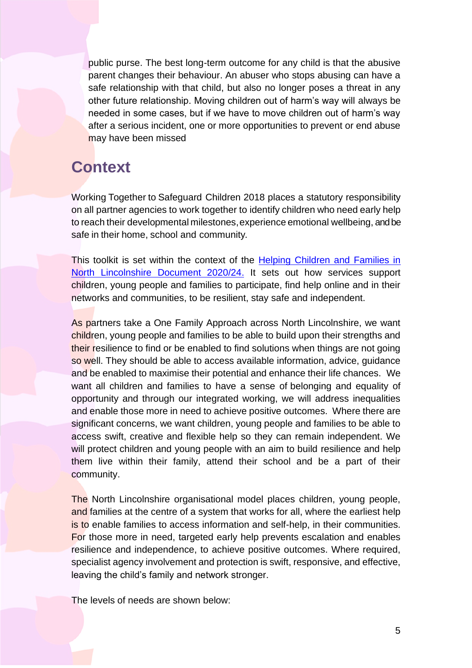public purse. The best long-term outcome for any child is that the abusive parent changes their behaviour. An abuser who stops abusing can have a safe relationship with that child, but also no longer poses a threat in any other future relationship. Moving children out of harm's way will always be needed in some cases, but if we have to move children out of harm's way after a serious incident, one or more opportunities to prevent or end abuse may have been missed

### <span id="page-4-0"></span>**Context**

Working Together to Safeguard Children 2018 places a statutory responsibility on all partner agencies to work together to identify children who need early help to reach their developmental milestones, experience emotional wellbeing, andbe safe in their home, school and community.

This toolkit is set within the context of the Helping Children and Families in [North Lincolnshire Document 2020/24.](https://www.northlincscmars.co.uk/policies-procedures-and-guidance/) It sets out how services support children, young people and families to participate, find help online and in their networks and communities, to be resilient, stay safe and independent.

As partners take a One Family Approach across North Lincolnshire, we want children, young people and families to be able to build upon their strengths and their resilience to find or be enabled to find solutions when things are not going and be enabled to maximise their potential and enhance their life chances. We want all children and families to have a sense of belonging and equality of opportunity and through our integrated working, we will address inequalities and enable those more in need to achieve positive outcomes. Where there are significant concerns, we want children, young people and families to be able to access swift, creative and flexible help so they can remain independent. We will protect children and young people with an aim to build resilience and help them live within their family, attend their school and be a part of their so well. They should be able to access available information, advice, guidance community.

The North Lincolnshire organisational model places children, young people, and families at the centre of a system that works for all, where the earliest help is to enable families to access information and self-help, in their communities. For those more in need, targeted early help prevents escalation and enables resilience and independence, to achieve positive outcomes. Where required, specialist agency involvement and protection is swift, responsive, and effective, leaving the child's family and network stronger.

The levels of needs are shown below: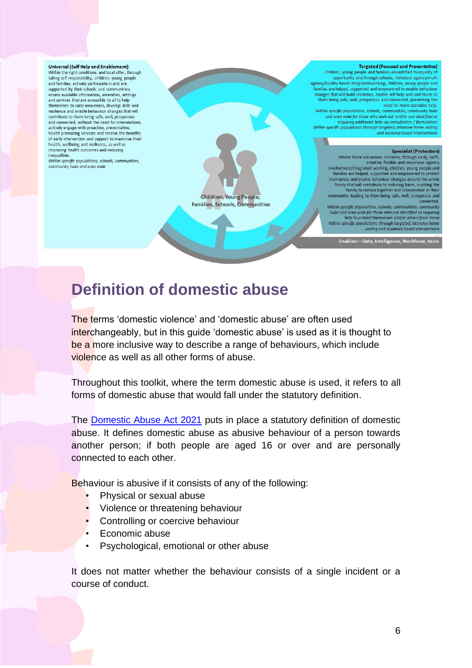#### Universal (Self Help and Enablement)

Within the right conditions and local offer, through taking self responsibility, children, young people and families; actively participate in and are supported by their schools and communities; access available information, amenities, settings and services that are accessible to all to help themselves to raise awareness, develop skills and resilience and enable behaviour changes that will contribute to them being safe, well, prosperous and connected, without the need for interventions, actively engage with proactive, preventative, health promoting services and receive the benefits of early intervention and support to maximise their health, wellbeing and resilience, as well as improving health outcomes and reducing inequalities

Within specific populations, schools, communities, community hubs and area wide

#### **Targeted (Focused and Preventative)** Children, young people and families are entitled to equality opportunity and through schools, individual agency/multi agency/locality based integrated working, children, young people and families are helped, supported and empowered to enable behaviour<br>changes that will build resilience, enable self help and contribute to them being safe, well, prosperous and connected, preventing the<br>new being safe, well, prosperous and connected, preventing the<br>need for more specialist help. Within specific populations, schools, communities, community hubs<br>and area wide for those who seek out and/or are identified as requiring additional help via consultation / formulation<br>Within specific populations through targeted, intensive home visiting and evidence based interventions **Specialist (Protection)** Where there are serious concerns, through early, swift,<br>creative, flexible and responsive agency involvement/integrated working, children, young people and<br>families are helped, supported and empowered to protect<br>themselves and enable behaviour changes around the whole<br>family that will contribute to reducing harm, enab

Children, Young People, **Families, Schools, Communities** 

community, leading to them being safe, well, prosperous and connected. Within specific populations, schools, communities, community<br>hubs and area wide for those who are identified as requiring<br>help to protect themselves and/or others from harm nep to protect themselves and/or others from harm<br>Within specific populations through targeted, intensive home<br>visiting and evidence based interventions

Enablers - Data, Intelligence, Workforce, Voice

### <span id="page-5-0"></span>**Definition of domestic abuse**

be a more inclusive way to describe a range of behaviours, which include The terms 'domestic violence' and 'domestic abuse' are often used interchangeably, but in this guide 'domestic abuse' is used as it is thought to violence as well as all other forms of abuse.

 Throughout this toolkit, where the term domestic abuse is used, it refers to all forms of domestic abuse that would fall under the statutory definition.

The **Domestic Abuse Act 2021** puts in place a statutory definition of domestic abuse. It defines domestic abuse as abusive behaviour of a person towards another person; if both people are aged 16 or over and are personally connected to each other.

Behaviour is abusive if it consists of any of the following:

- Physical or sexual abuse
- Violence or threatening behaviour
- Controlling or coercive behaviour
- Economic abuse
- Psychological, emotional or other abuse

 It does not matter whether the behaviour consists of a single incident or a course of conduct.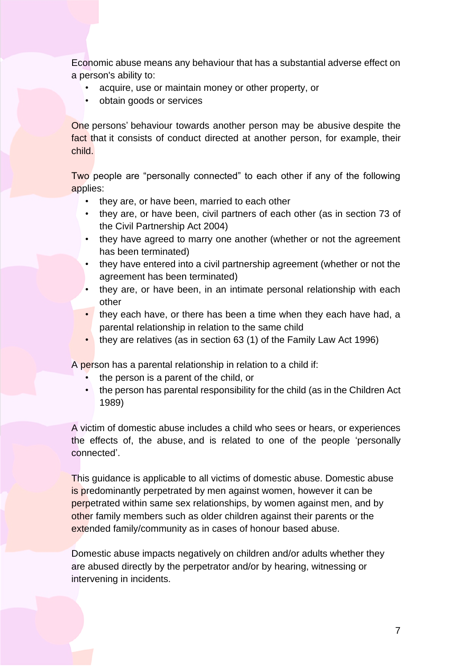Economic abuse means any behaviour that has a substantial adverse effect on a person's ability to:

- acquire, use or maintain money or other property, or
- obtain goods or services

 One persons' behaviour towards another person may be abusive despite the fact that it consists of conduct directed at another person, for example, their child.

 Two people are "personally connected" to each other if any of the following applies:

- they are, or have been, married to each other
- • they are, or have been, civil partners of each other (as in section 73 of the Civil Partnership Act 2004)
- • they have agreed to marry one another (whether or not the agreement has been terminated)
- • they have entered into a civil partnership agreement (whether or not the agreement has been terminated)
- • they are, or have been, in an intimate personal relationship with each other
- they each have, or there has been a time when they each have had, a parental relationship in relation to the same child
- they are relatives (as in section 63 (1) of the Family Law Act 1996)

A person has a parental relationship in relation to a child if:

- the person is a parent of the child, or
- the person has parental responsibility for the child (as in the Children Act 1989)

 the effects of, the abuse, and is related to one of the people 'personally A victim of domestic abuse includes a child who sees or hears, or experiences connected'.

This guidance is applicable to all victims of domestic abuse. Domestic abuse is predominantly perpetrated by men against women, however it can be perpetrated within same sex relationships, by women against men, and by other family members such as older children against their parents or the extended family/community as in cases of honour based abuse.

Domestic abuse impacts negatively on children and/or adults whether they are abused directly by the perpetrator and/or by hearing, witnessing or intervening in incidents.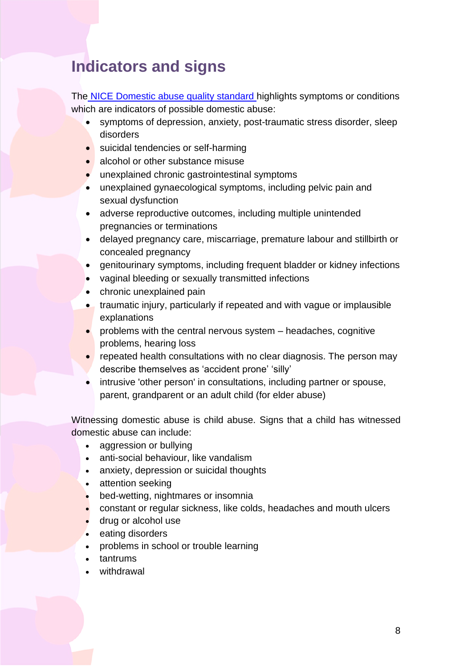### <span id="page-7-0"></span>**Indicators and signs**

The **NICE Domestic abuse quality standard** highlights symptoms or conditions which are indicators of possible domestic abuse:

- symptoms of depression, anxiety, post-traumatic stress disorder, sleep disorders
- suicidal tendencies or self-harming
- alcohol or other substance misuse
- unexplained chronic gastrointestinal symptoms
- unexplained gynaecological symptoms, including pelvic pain and sexual dysfunction
- adverse reproductive outcomes, including multiple unintended pregnancies or terminations
- delayed pregnancy care, miscarriage, premature labour and stillbirth or concealed pregnancy
- genitourinary symptoms, including frequent bladder or kidney infections
- vaginal bleeding or sexually transmitted infections
- chronic unexplained pain
- traumatic injury, particularly if repeated and with vague or implausible explanations
- problems with the central nervous system headaches, cognitive problems, hearing loss
- repeated health consultations with no clear diagnosis. The person may describe themselves as 'accident prone' 'silly'
- intrusive 'other person' in consultations, including partner or spouse, parent, grandparent or an adult child (for elder abuse)

 Witnessing domestic abuse is child abuse. Signs that a child has witnessed domestic abuse can include:

- aggression or bullying
- anti-social behaviour, like vandalism
- [anxiety, depression or suicidal thoughts](https://www.nspcc.org.uk/keeping-children-safe/childrens-mental-health/depression-anxiety-mental-health/)
- attention seeking
- bed-wetting, nightmares or insomnia
- constant or regular sickness, like colds, headaches and mouth ulcers
- [drug or alcohol use](https://www.nspcc.org.uk/keeping-children-safe/support-for-parents/alcohol-drugs-parenting/)
- eating disorders
- problems in school or trouble learning
- tantrums
- withdrawal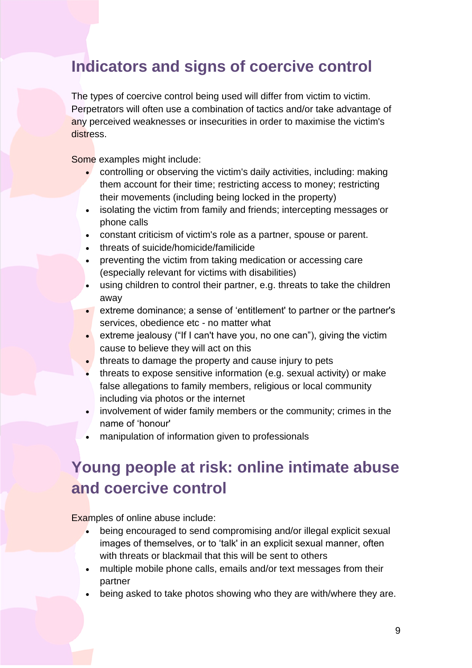### <span id="page-8-0"></span>**Indicators and signs of coercive control**

 Perpetrators will often use a combination of tactics and/or take advantage of The types of coercive control being used will differ from victim to victim. any perceived weaknesses or insecurities in order to maximise the victim's distress.

Some examples might include:

- controlling or observing the victim's daily activities, including: making them account for their time; restricting access to money; restricting their movements (including being locked in the property)
- isolating the victim from family and friends; intercepting messages or phone calls
- constant criticism of victim's role as a partner, spouse or parent.
- threats of suicide/homicide/familicide
- preventing the victim from taking medication or accessing care (especially relevant for victims with disabilities)
- using children to control their partner, e.g. threats to take the children away
- extreme dominance; a sense of 'entitlement' to partner or the partner's services, obedience etc - no matter what
- cause to believe they will act on this • extreme jealousy ("If I can't have you, no one can"), giving the victim
- threats to damage the property and cause injury to pets
- threats to expose sensitive information (e.g. sexual activity) or make false allegations to family members, religious or local community including via photos or the internet
- involvement of wider family members or the community; crimes in the name of 'honour'
- manipulation of information given to professionals

### **Young people at risk: online intimate abuse and coercive control**

Examples of online abuse include:

- being encouraged to send compromising and/or illegal explicit sexual images of themselves, or to 'talk' in an explicit sexual manner, often with threats or blackmail that this will be sent to others
- • multiple mobile phone calls, emails and/or text messages from their partner
- being asked to take photos showing who they are with/where they are.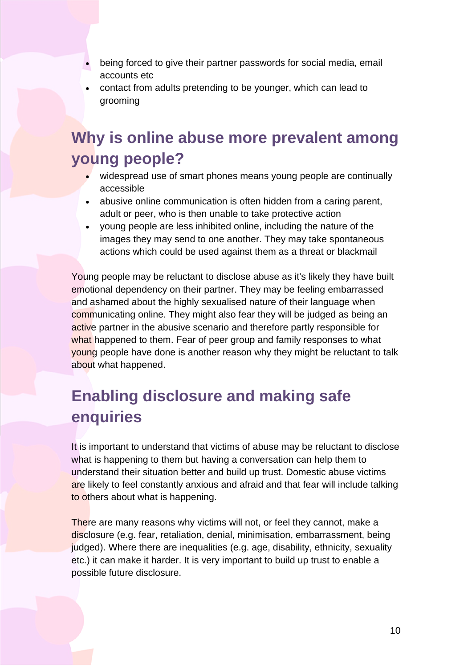- being forced to give their partner passwords for social media, email accounts etc
- contact from adults pretending to be younger, which can lead to grooming

# **Why is online abuse more prevalent among young people?**

- widespread use of smart phones means young people are continually accessible
- abusive online communication is often hidden from a caring parent, adult or peer, who is then unable to take protective action
- actions which could be used against them as a threat or blackmail • young people are less inhibited online, including the nature of the images they may send to one another. They may take spontaneous

 Young people may be reluctant to disclose abuse as it's likely they have built and ashamed about the highly sexualised nature of their language when what happened to them. Fear of peer group and family responses to what emotional dependency on their partner. They may be feeling embarrassed communicating online. They might also fear they will be judged as being an active partner in the abusive scenario and therefore partly responsible for young people have done is another reason why they might be reluctant to talk about what happened.

# <span id="page-9-0"></span>**Enabling disclosure and making safe enquiries**

It is important to understand that victims of abuse may be reluctant to disclose what is happening to them but having a conversation can help them to understand their situation better and build up trust. Domestic abuse victims are likely to feel constantly anxious and afraid and that fear will include talking to others about what is happening.

 etc.) it can make it harder. It is very important to build up trust to enable a There are many reasons why victims will not, or feel they cannot, make a disclosure (e.g. fear, retaliation, denial, minimisation, embarrassment, being judged). Where there are inequalities (e.g. age, disability, ethnicity, sexuality possible future disclosure.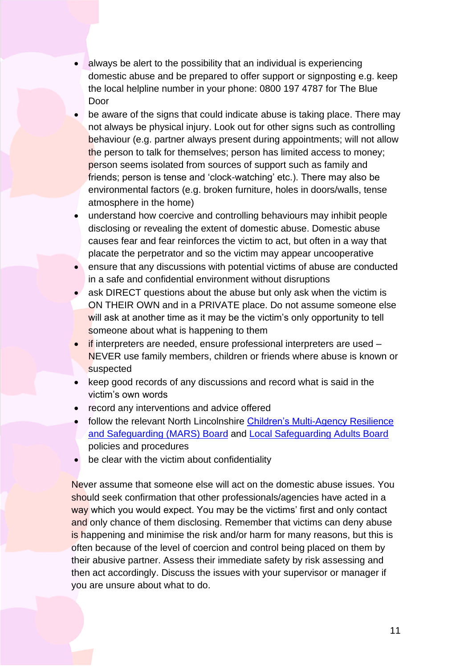- domestic abuse and be prepared to offer support or signposting e.g. keep • always be alert to the possibility that an individual is experiencing the local helpline number in your phone: 0800 197 4787 for The Blue Door
- the person to talk for themselves; person has limited access to money; be aware of the signs that could indicate abuse is taking place. There may not always be physical injury. Look out for other signs such as controlling behaviour (e.g. partner always present during appointments; will not allow person seems isolated from sources of support such as family and friends; person is tense and 'clock-watching' etc.). There may also be environmental factors (e.g. broken furniture, holes in doors/walls, tense atmosphere in the home)
- disclosing or revealing the extent of domestic abuse. Domestic abuse causes fear and fear reinforces the victim to act, but often in a way that • understand how coercive and controlling behaviours may inhibit people placate the perpetrator and so the victim may appear uncooperative
- ensure that any discussions with potential victims of abuse are conducted in a safe and confidential environment without disruptions
- ask DIRECT questions about the abuse but only ask when the victim is ON THEIR OWN and in a PRIVATE place. Do not assume someone else will ask at another time as it may be the victim's only opportunity to tell someone about what is happening to them
- if interpreters are needed, ensure professional interpreters are used NEVER use family members, children or friends where abuse is known or suspected
- keep good records of any discussions and record what is said in the victim's own words
- record any interventions and advice offered
- follow the relevant North Lincolnshire [Children's Multi-Agency Resilience](https://www.northlincscmars.co.uk/policies-procedures-and-guidance/)  [and Safeguarding \(MARS\) Board](https://www.northlincscmars.co.uk/policies-procedures-and-guidance/) and [Local Safeguarding Adults Board](http://www.northlincssab.co.uk/professionals/)  policies and procedures
- be clear with the victim about confidentiality

Never assume that someone else will act on the domestic abuse issues. You should seek confirmation that other professionals/agencies have acted in a way which you would expect. You may be the victims' first and only contact and only chance of them disclosing. Remember that victims can deny abuse is happening and minimise the risk and/or harm for many reasons, but this is often because of the level of coercion and control being placed on them by their abusive partner. Assess their immediate safety by risk assessing and then act accordingly. Discuss the issues with your supervisor or manager if you are unsure about what to do.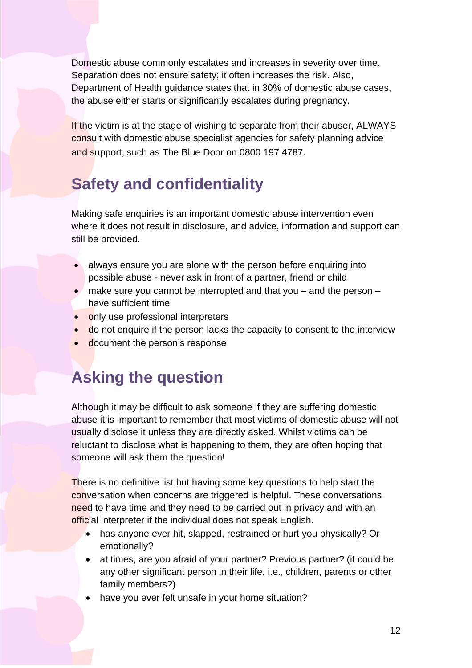Domestic abuse commonly escalates and increases in severity over time. Separation does not ensure safety; it often increases the risk. Also, Department of Health guidance states that in 30% of domestic abuse cases, the abuse either starts or significantly escalates during pregnancy.

and support, such as The Blue Door on 0800 197 4787. If the victim is at the stage of wishing to separate from their abuser, ALWAYS consult with domestic abuse specialist agencies for safety planning advice

# **Safety and confidentiality**

 Making safe enquiries is an important domestic abuse intervention even where it does not result in disclosure, and advice, information and support can still be provided.

- always ensure you are alone with the person before enquiring into possible abuse - never ask in front of a partner, friend or child
- • make sure you cannot be interrupted and that you and the person have sufficient time
- only use professional interpreters
- do not enquire if the person lacks the capacity to consent to the interview
- document the person's response

# **Asking the question**

 usually disclose it unless they are directly asked. Whilst victims can be Although it may be difficult to ask someone if they are suffering domestic abuse it is important to remember that most victims of domestic abuse will not reluctant to disclose what is happening to them, they are often hoping that someone will ask them the question!

need to have time and they need to be carried out in privacy and with an There is no definitive list but having some key questions to help start the conversation when concerns are triggered is helpful. These conversations official interpreter if the individual does not speak English.

- has anyone ever hit, slapped, restrained or hurt you physically? Or emotionally?
- any other significant person in their life, i.e., children, parents or other • at times, are you afraid of your partner? Previous partner? (it could be family members?)
- have you ever felt unsafe in your home situation?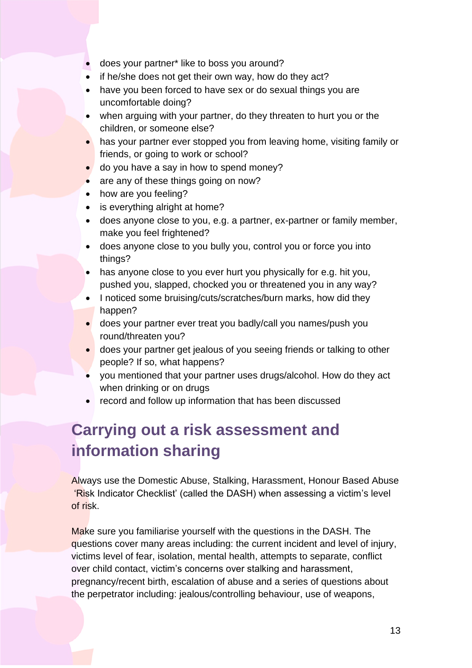- does your partner\* like to boss you around?
- if he/she does not get their own way, how do they act?
- have you been forced to have sex or do sexual things you are uncomfortable doing?
- when arguing with your partner, do they threaten to hurt you or the children, or someone else?
- has your partner ever stopped you from leaving home, visiting family or friends, or going to work or school?
- do you have a say in how to spend money?
- are any of these things going on now?
- how are you feeling?
- is everything alright at home?
- does anyone close to you, e.g. a partner, ex-partner or family member, make you feel frightened?
- does anyone close to you bully you, control you or force you into things?
- has anyone close to you ever hurt you physically for e.g. hit you, pushed you, slapped, chocked you or threatened you in any way?
- I noticed some bruising/cuts/scratches/burn marks, how did they happen?
- does your partner ever treat you badly/call you names/push you round/threaten you?
- does your partner get jealous of you seeing friends or talking to other people? If so, what happens?
- when drinking or on drugs • you mentioned that your partner uses drugs/alcohol. How do they act
- record and follow up information that has been discussed

### <span id="page-12-0"></span>**Carrying out a risk assessment and information sharing**

 'Risk Indicator Checklist' (called the DASH) when assessing a victim's level Always use the Domestic Abuse, Stalking, Harassment, Honour Based Abuse of risk.

Make sure you familiarise yourself with the questions in the DASH. The questions cover many areas including: the current incident and level of injury, victims level of fear, isolation, mental health, attempts to separate, conflict over child contact, victim's concerns over stalking and harassment, pregnancy/recent birth, escalation of abuse and a series of questions about the perpetrator including: jealous/controlling behaviour, use of weapons,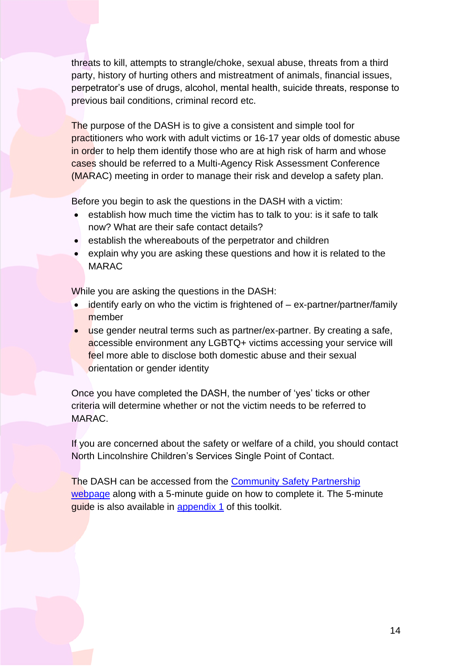threats to kill, attempts to strangle/choke, sexual abuse, threats from a third party, history of hurting others and mistreatment of animals, financial issues, perpetrator's use of drugs, alcohol, mental health, suicide threats, response to previous bail conditions, criminal record etc.

in order to help them identify those who are at high risk of harm and whose The purpose of the DASH is to give a consistent and simple tool for practitioners who work with adult victims or 16-17 year olds of domestic abuse cases should be referred to a Multi-Agency Risk Assessment Conference (MARAC) meeting in order to manage their risk and develop a safety plan.

Before you begin to ask the questions in the DASH with a victim:

- • establish how much time the victim has to talk to you: is it safe to talk now? What are their safe contact details?
- establish the whereabouts of the perpetrator and children
- • explain why you are asking these questions and how it is related to the MARAC

While you are asking the questions in the DASH:

- identify early on who the victim is frightened of  $-$  ex-partner/partner/family member
- use gender neutral terms such as partner/ex-partner. By creating a safe, accessible environment any LGBTQ+ victims accessing your service will feel more able to disclose both domestic abuse and their sexual orientation or gender identity

Once you have completed the DASH, the number of 'yes' ticks or other criteria will determine whether or not the victim needs to be referred to MARAC.

If you are concerned about the safety or welfare of a child, you should contact North Lincolnshire Children's Services Single Point of Contact.

The DASH can be accessed from the **Community Safety Partnership** [webpage](https://www.northlincs.gov.uk/community-advice-and-support/crime-and-community-safety/#1606397487958-8b7f09c0-c746) along with a 5-minute guide on how to complete it. The 5-minute guide is also available in [appendix 1](#page-38-1) of this toolkit.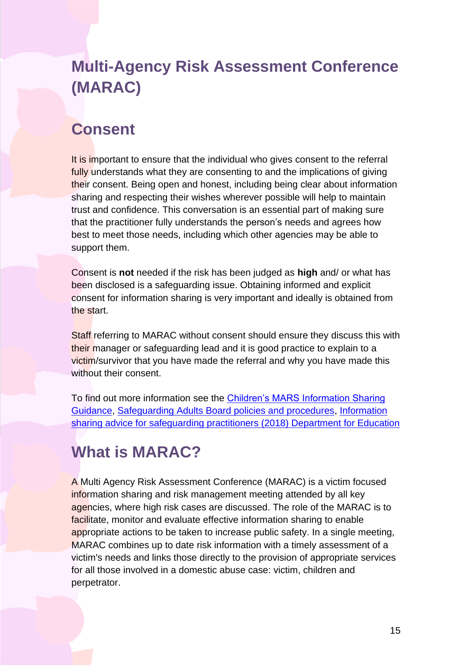# <span id="page-14-0"></span>**Multi-Agency Risk Assessment Conference (MARAC)**

### **Consent**

fully understands what they are consenting to and the implications of giving t<mark>h</mark>eir consent. Being open and honest, including being clear about information best to meet those needs, including which other agencies may be able to It is important to ensure that the individual who gives consent to the referral sharing and respecting their wishes wherever possible will help to maintain trust and confidence. This conversation is an essential part of making sure that the practitioner fully understands the person's needs and agrees how support them.

 consent for information sharing is very important and ideally is obtained from Consent is **not** needed if the risk has been judged as **high** and/ or what has been disclosed is a safeguarding issue. Obtaining informed and explicit the start.

their manager or safeguarding lead and it is good practice to explain to a Staff referring to MARAC without consent should ensure they discuss this with victim/survivor that you have made the referral and why you have made this without their consent.

To find out more information see the <u>Children's MARS Information Sharing</u> [Guidance,](https://www.northlincscmars.co.uk/policies-procedures-and-guidance/) [Safeguarding Adults Board policies and procedures,](http://www.northlincssab.co.uk/professionals/) [Information](https://www.gov.uk/government/publications/safeguarding-practitioners-information-sharing-advice)  [sharing advice for safeguarding practitioners \(2018\) Department for Education](https://www.gov.uk/government/publications/safeguarding-practitioners-information-sharing-advice) 

### **What is MARAC?**

 information sharing and risk management meeting attended by all key A Multi Agency Risk Assessment Conference (MARAC) is a victim focused agencies, where high risk cases are discussed. The role of the MARAC is to facilitate, monitor and evaluate effective information sharing to enable appropriate actions to be taken to increase public safety. In a single meeting, MARAC combines up to date risk information with a timely assessment of a victim's needs and links those directly to the provision of appropriate services for all those involved in a domestic abuse case: victim, children and perpetrator.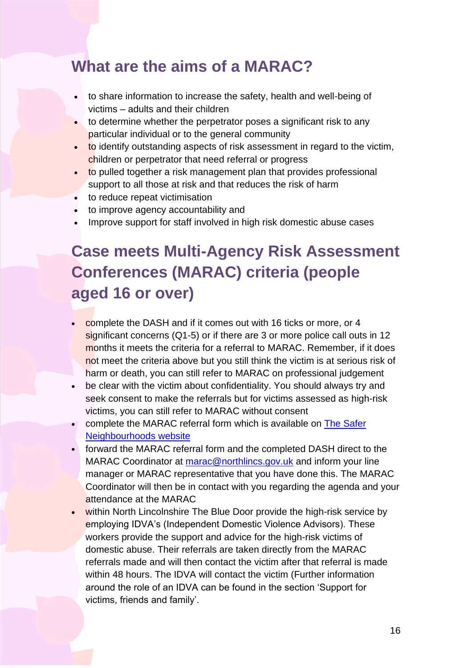### **What are the aims of a MARAC?**

- • to share information to increase the safety, health and well-being of victims – adults and their children
- to determine whether the perpetrator poses a significant risk to any particular individual or to the general community
- to identify outstanding aspects of risk assessment in regard to the victim, children or perpetrator that need referral or progress
- support to all those at risk and that reduces the risk of harm • to pulled together a risk management plan that provides professional
- to reduce repeat victimisation
- to improve agency accountability and
- Improve support for staff involved in high risk domestic abuse cases

# **Case meets Multi-Agency Risk Assessment Conferences (MARAC) criteria (people aged 16 or over)**

- complete the DASH and if it comes out with 16 ticks or more, or 4 significant concerns (Q1-5) or if there are 3 or more police call outs in 12 months it meets the criteria for a referral to MARAC. Remember, if it does not meet the criteria above but you still think the victim is at serious risk of harm or death, you can still refer to MARAC on professional judgement
- be clear with the victim about confidentiality. You should always try and seek consent to make the referrals but for victims assessed as high-risk victims, you can still refer to MARAC without consent
- complete the MARAC referral form which is available on The Safer [Neighbourhoods website](https://www.saferneighbourhoods.net/domestic-abuse/marac/)
- forward the MARAC referral form and the completed DASH direct to the MARAC Coordinator at [marac@northlincs.gov.uk](mailto:marac@northlincs.gov.uk) and inform your line manager or MARAC representative that you have done this. The MARAC Coordinator will then be in contact with you regarding the agenda and your attendance at the MARAC
- within North Lincolnshire The Blue Door provide the high-risk service by employing IDVA's (Independent Domestic Violence Advisors). These workers provide the support and advice for the high-risk victims of domestic abuse. Their referrals are taken directly from the MARAC referrals made and will then contact the victim after that referral is made within 48 hours. The IDVA will contact the victim (Further information around the role of an IDVA can be found in the section 'Support for victims, friends and family'.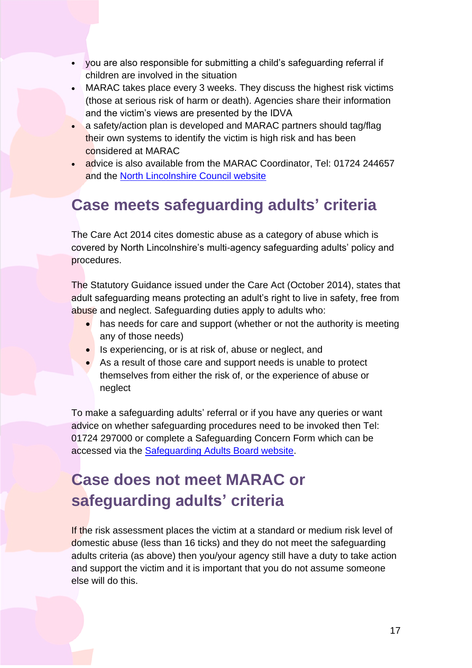- you are also responsible for submitting a child's safeguarding referral if children are involved in the situation
- MARAC takes place every 3 weeks. They discuss the highest risk victims (those at serious risk of harm or death). Agencies share their information and the victim's views are presented by the IDVA
- their own systems to identify the victim is high risk and has been • a safety/action plan is developed and MARAC partners should tag/flag considered at MARAC
- and the **North Lincolnshire Council website** • advice is also available from the MARAC Coordinator, Tel: 01724 244657

# <span id="page-16-0"></span> **Case meets safeguarding adults' criteria**

The Care Act 2014 cites domestic abuse as a category of abuse which is covered by North Lincolnshire's multi-agency safeguarding adults' policy and procedures.

The Statutory Guidance issued under the Care Act (October 2014), states that adult safeguarding means protecting an adult's right to live in safety, free from abuse and neglect. Safeguarding duties apply to adults who:

- has needs for care and support (whether or not the authority is meeting any of those needs)
- Is experiencing, or is at risk of, abuse or neglect, and
- As a result of those care and support needs is unable to protect themselves from either the risk of, or the experience of abuse or neglect

To make a safeguarding adults' referral or if you have any queries or want advice on whether safeguarding procedures need to be invoked then Tel: 01724 297000 or complete a Safeguarding Concern Form which can be accessed via the [Safeguarding Adults Board website.](http://www.northlincssab.co.uk/reporting-abuse/)

# <span id="page-16-1"></span>**Case does not meet MARAC or safeguarding adults' criteria**

 domestic abuse (less than 16 ticks) and they do not meet the safeguarding If the risk assessment places the victim at a standard or medium risk level of adults criteria (as above) then you/your agency still have a duty to take action and support the victim and it is important that you do not assume someone else will do this.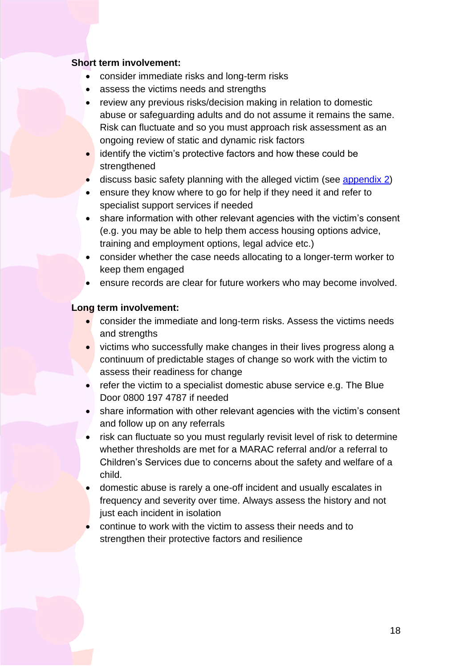#### **Short term involvement:**

- consider immediate risks and long-term risks
- assess the victims needs and strengths
- review any previous risks/decision making in relation to domestic abuse or safeguarding adults and do not assume it remains the same. Risk can fluctuate and so you must approach risk assessment as an ongoing review of static and dynamic risk factors
- identify the victim's protective factors and how these could be strengthened
- discuss basic safety planning with the alleged victim (see [appendix 2\)](#page-44-0)
- ensure they know where to go for help if they need it and refer to specialist support services if needed
- (e.g. you may be able to help them access housing options advice, • share information with other relevant agencies with the victim's consent training and employment options, legal advice etc.)
- keep them engaged • consider whether the case needs allocating to a longer-term worker to
- ensure records are clear for future workers who may become involved.

#### **Long term involvement:**

- consider the immediate and long-term risks. Assess the victims needs and strengths
- victims who successfully make changes in their lives progress along a continuum of predictable stages of change so work with the victim to assess their readiness for change
- • refer the victim to a specialist domestic abuse service e.g. The Blue Door 0800 197 4787 if needed
- share information with other relevant agencies with the victim's consent and follow up on any referrals
- risk can fluctuate so you must regularly revisit level of risk to determine whether thresholds are met for a MARAC referral and/or a referral to Children's Services due to concerns about the safety and welfare of a child.
- domestic abuse is rarely a one-off incident and usually escalates in frequency and severity over time. Always assess the history and not just each incident in isolation
- continue to work with the victim to assess their needs and to strengthen their protective factors and resilience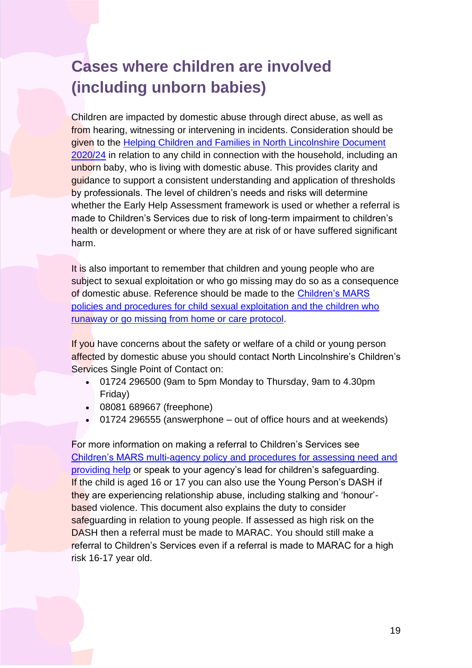## <span id="page-18-0"></span>**Cases where children are involved (including unborn babies)**

[2020/24](http://www.northlincscmars.co.uk/policies-procedures-and-guidance/) in relation to any child in connection with the household, including an guidance to support a consistent understanding and application of thresholds Children are impacted by domestic abuse through direct abuse, as well as from hearing, witnessing or intervening in incidents. Consideration should be given to the [Helping Children and Families in North Lincolnshire Document](http://www.northlincscmars.co.uk/policies-procedures-and-guidance/)  unborn baby, who is living with domestic abuse. This provides clarity and by professionals. The level of children's needs and risks will determine whether the Early Help Assessment framework is used or whether a referral is made to Children's Services due to risk of long-term impairment to children's health or development or where they are at risk of or have suffered significant harm.

 subject to sexual exploitation or who go missing may do so as a consequence of domestic abuse. Reference should be made to the **Children's MARS**  [runaway or go missing from home or care protocol.](http://www.northlincscmars.co.uk/policies-procedures-and-guidance/) It is also important to remember that children and young people who are [policies and procedures for child sexual exploitation and the children who](http://www.northlincscmars.co.uk/policies-procedures-and-guidance/) 

If you have concerns about the safety or welfare of a child or young person affected by domestic abuse you should contact North Lincolnshire's Children's Services Single Point of Contact on:

- 01724 296500 (9am to 5pm Monday to Thursday, 9am to 4.30pm Friday)
- 08081 689667 (freephone)
- 01724 296555 (answerphone out of office hours and at weekends)

 [Children's MARS multi-agency policy and procedures for assessing need and](http://www.northlincscmars.co.uk/policies-procedures-and-guidance/)  If the child is aged 16 or 17 you can also use the Young Person's DASH if based violence. This document also explains the duty to consider DASH then a referral must be made to MARAC. You should still make a For more information on making a referral to Children's Services see [providing help](http://www.northlincscmars.co.uk/policies-procedures-and-guidance/) or speak to your agency's lead for children's safeguarding. they are experiencing relationship abuse, including stalking and 'honour' safeguarding in relation to young people. If assessed as high risk on the referral to Children's Services even if a referral is made to MARAC for a high risk 16-17 year old.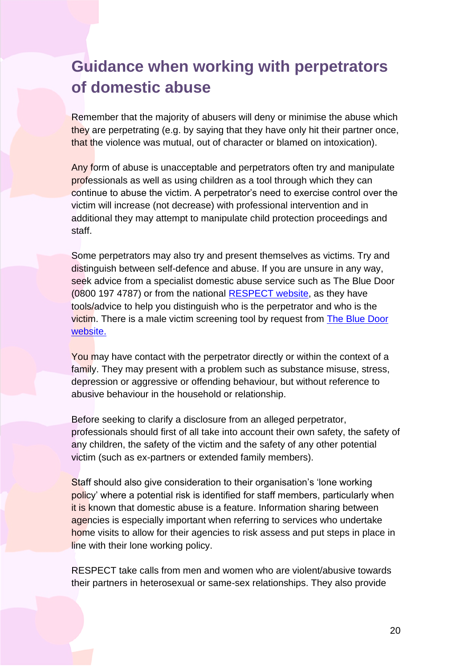### <span id="page-19-0"></span>**Guidance when working with perpetrators of domestic abuse**

Remember that the majority of abusers will deny or minimise the abuse which they are perpetrating (e.g. by saying that they have only hit their partner once, that the violence was mutual, out of character or blamed on intoxication).

Any form of abuse is unacceptable and perpetrators often try and manipulate continue to abuse the victim. A perpetrator's need to exercise control over the professionals as well as using children as a tool through which they can victim will increase (not decrease) with professional intervention and in additional they may attempt to manipulate child protection proceedings and staff.

 Some perpetrators may also try and present themselves as victims. Try and tools/advice to help you distinguish who is the perpetrator and who is the distinguish between self-defence and abuse. If you are unsure in any way, seek advice from a specialist domestic abuse service such as The Blue Door (0800 197 4787) or from the national **RESPECT** website, as they have victim. There is a male victim screening tool by request from [The Blue Door](http://www.thebluedoor.org/)  website.

You may have contact with the perpetrator directly or within the context of a family. They may present with a problem such as substance misuse, stress, depression or aggressive or offending behaviour, but without reference to abusive behaviour in the household or relationship.

Before seeking to clarify a disclosure from an alleged perpetrator, professionals should first of all take into account their own safety, the safety of any children, the safety of the victim and the safety of any other potential victim (such as ex-partners or extended family members).

Staff should also give consideration to their organisation's 'lone working policy' where a potential risk is identified for staff members, particularly when it is known that domestic abuse is a feature. Information sharing between agencies is especially important when referring to services who undertake home visits to allow for their agencies to risk assess and put steps in place in line with their lone working policy.

RESPECT take calls from men and women who are violent/abusive towards their partners in heterosexual or same-sex relationships. They also provide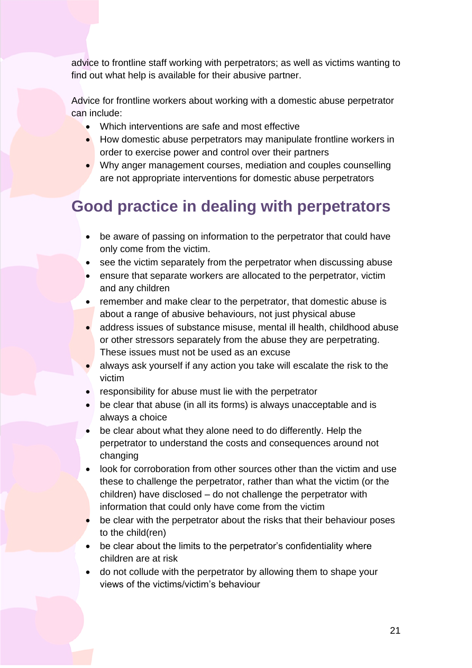advice to frontline staff working with perpetrators; as well as victims wanting to find out what help is available for their abusive partner.

Advice for frontline workers about working with a domestic abuse perpetrator can include:

- Which interventions are safe and most effective
- How domestic abuse perpetrators may manipulate frontline workers in order to exercise power and control over their partners
- Why anger management courses, mediation and couples counselling are not appropriate interventions for domestic abuse perpetrators

# **Good practice in dealing with perpetrators**

- be aware of passing on information to the perpetrator that could have only come from the victim.
- see the victim separately from the perpetrator when discussing abuse
- • ensure that separate workers are allocated to the perpetrator, victim and any children
- remember and make clear to the perpetrator, that domestic abuse is about a range of abusive behaviours, not just physical abuse
- address issues of substance misuse, mental ill health, childhood abuse or other stressors separately from the abuse they are perpetrating. These issues must not be used as an excuse
- always ask yourself if any action you take will escalate the risk to the victim
- responsibility for abuse must lie with the perpetrator
- be clear that abuse (in all its forms) is always unacceptable and is always a choice
- be clear about what they alone need to do differently. Help the perpetrator to understand the costs and consequences around not changing
- • look for corroboration from other sources other than the victim and use these to challenge the perpetrator, rather than what the victim (or the children) have disclosed – do not challenge the perpetrator with information that could only have come from the victim
- be clear with the perpetrator about the risks that their behaviour poses to the child(ren)
- be clear about the limits to the perpetrator's confidentiality where children are at risk
- do not collude with the perpetrator by allowing them to shape your views of the victims/victim's behaviour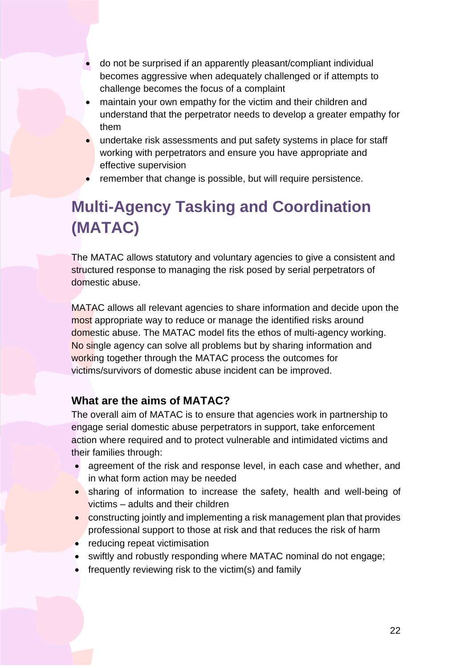- do not be surprised if an apparently pleasant/compliant individual becomes aggressive when adequately challenged or if attempts to challenge becomes the focus of a complaint
- • maintain your own empathy for the victim and their children and understand that the perpetrator needs to develop a greater empathy for them
- undertake risk assessments and put safety systems in place for staff working with perpetrators and ensure you have appropriate and effective supervision
- remember that change is possible, but will require persistence.

# **Multi-Agency Tasking and Coordination (MATAC)**

 structured response to managing the risk posed by serial perpetrators of The MATAC allows statutory and voluntary agencies to give a consistent and domestic abuse.

MATAC allows all relevant agencies to share information and decide upon the No single agency can solve all problems but by sharing information and most appropriate way to reduce or manage the identified risks around domestic abuse. The MATAC model fits the ethos of multi-agency working. working together through the MATAC process the outcomes for victims/survivors of domestic abuse incident can be improved.

### **What are the aims of MATAC?**

 action where required and to protect vulnerable and intimidated victims and The overall aim of MATAC is to ensure that agencies work in partnership to engage serial domestic abuse perpetrators in support, take enforcement their families through:

- • agreement of the risk and response level, in each case and whether, and in what form action may be needed
- • sharing of information to increase the safety, health and well-being of victims – adults and their children
- constructing jointly and implementing a risk management plan that provides professional support to those at risk and that reduces the risk of harm
- reducing repeat victimisation
- swiftly and robustly responding where MATAC nominal do not engage;
- frequently reviewing risk to the victim(s) and family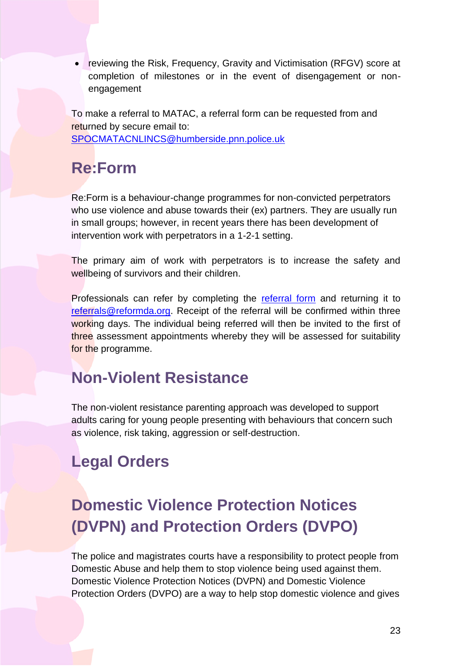• reviewing the Risk, Frequency, Gravity and Victimisation (RFGV) score at completion of milestones or in the event of disengagement or nonengagement

 To make a referral to MATAC, a referral form can be requested from and returned by secure email to: [SPOCMATACNLINCS@humberside.pnn.police.uk](mailto:SPOCMATACNLINCS@humberside.pnn.police.uk) 

# **Re:Form**

Re:Form is a behaviour-change programmes for non-convicted perpetrators who use violence and abuse towards their (ex) partners. They are usually run in small groups; however, in recent years there has been development of intervention work with perpetrators in a 1-2-1 setting.

 The primary aim of work with perpetrators is to increase the safety and wellbeing of survivors and their children.

Professionals can refer by completing the **referral form** and returning it to [referrals@reformda.org.](mailto:referrals@reformda.org) Receipt of the referral will be confirmed within three working days. The individual being referred will then be invited to the first of three assessment appointments whereby they will be assessed for suitability for the programme.

# **Non-Violent Resistance**

The non-violent resistance parenting approach was developed to support adults caring for young people presenting with behaviours that concern such as violence, risk taking, aggression or self-destruction.

# <span id="page-22-0"></span>**Legal Orders**

# **Domestic Violence Protection Notices (DVPN) and Protection Orders (DVPO)**

 Domestic Abuse and help them to stop violence being used against them. The police and magistrates courts have a responsibility to protect people from Domestic Violence Protection Notices (DVPN) and Domestic Violence Protection Orders (DVPO) are a way to help stop domestic violence and gives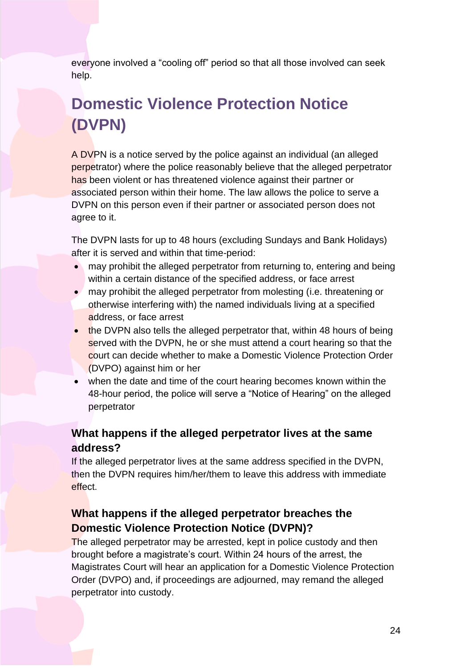everyone involved a "cooling off" period so that all those involved can seek help.

# **Domestic Violence Protection Notice (DVPN)**

A DVPN is a notice served by the police against an individual (an alleged associated person within their home. The law allows the police to serve a DVPN on this person even if their partner or associated person does not perpetrator) where the police reasonably believe that the alleged perpetrator has been violent or has threatened violence against their partner or agree to it.

The DVPN lasts for up to 48 hours (excluding Sundays and Bank Holidays) after it is served and within that time-period:

- • may prohibit the alleged perpetrator from returning to, entering and being within a certain distance of the specified address, or face arrest
- may prohibit the alleged perpetrator from molesting (i.e. threatening or otherwise interfering with) the named individuals living at a specified address, or face arrest
- served with the DVPN, he or she must attend a court hearing so that the court can decide whether to make a Domestic Violence Protection Order • the DVPN also tells the alleged perpetrator that, within 48 hours of being (DVPO) against him or her
- 48-hour period, the police will serve a "Notice of Hearing" on the alleged when the date and time of the court hearing becomes known within the perpetrator

### **What happens if the alleged perpetrator lives at the same address?**

If the alleged perpetrator lives at the same address specified in the DVPN, then the DVPN requires him/her/them to leave this address with immediate effect.

### **What happens if the alleged perpetrator breaches the Domestic Violence Protection Notice (DVPN)?**

The alleged perpetrator may be arrested, kept in police custody and then brought before a magistrate's court. Within 24 hours of the arrest, the Magistrates Court will hear an application for a Domestic Violence Protection Order (DVPO) and, if proceedings are adjourned, may remand the alleged perpetrator into custody.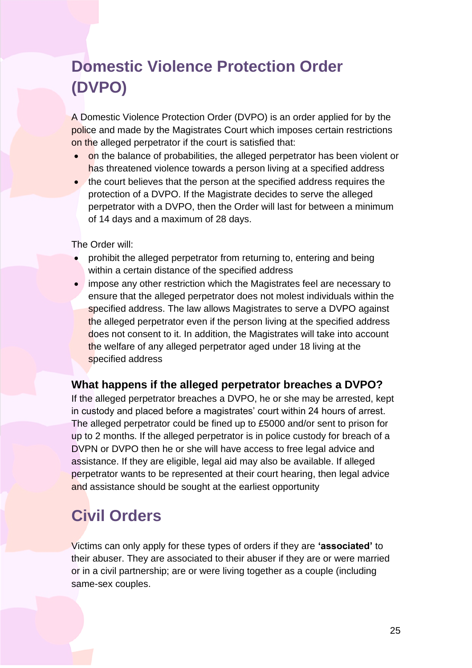# **Domestic Violence Protection Order (DVPO)**

 A Domestic Violence Protection Order (DVPO) is an order applied for by the police and made by the Magistrates Court which imposes certain restrictions on the alleged perpetrator if the court is satisfied that:

- on the balance of probabilities, the alleged perpetrator has been violent or has threatened violence towards a person living at a specified address
- protection of a DVPO. If the Magistrate decides to serve the alleged perpetrator with a DVPO, then the Order will last for between a minimum • the court believes that the person at the specified address requires the of 14 days and a maximum of 28 days.

The Order will:

- • prohibit the alleged perpetrator from returning to, entering and being within a certain distance of the specified address
- the welfare of any alleged perpetrator aged under 18 living at the • impose any other restriction which the Magistrates feel are necessary to ensure that the alleged perpetrator does not molest individuals within the specified address. The law allows Magistrates to serve a DVPO against the alleged perpetrator even if the person living at the specified address does not consent to it. In addition, the Magistrates will take into account specified address

### **What happens if the alleged perpetrator breaches a DVPO?**

 If the alleged perpetrator breaches a DVPO, he or she may be arrested, kept in custody and placed before a magistrates' court within 24 hours of arrest. The alleged perpetrator could be fined up to £5000 and/or sent to prison for up to 2 months. If the alleged perpetrator is in police custody for breach of a assistance. If they are eligible, legal aid may also be available. If alleged DVPN or DVPO then he or she will have access to free legal advice and perpetrator wants to be represented at their court hearing, then legal advice and assistance should be sought at the earliest opportunity

# <span id="page-24-0"></span>**Civil Orders**

Victims can only apply for these types of orders if they are **'associated'** to their abuser. They are associated to their abuser if they are or were married or in a civil partnership; are or were living together as a couple (including same-sex couples.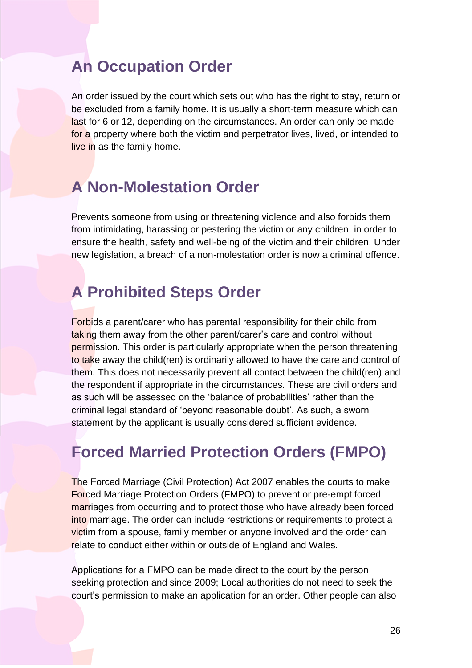### **An Occupation Order**

last for 6 or 12, depending on the circumstances. An order can only be made An order issued by the court which sets out who has the right to stay, return or be excluded from a family home. It is usually a short-term measure which can for a property where both the victim and perpetrator lives, lived, or intended to live in as the family home.

### **A Non-Molestation Order**

 Prevents someone from using or threatening violence and also forbids them from intimidating, harassing or pestering the victim or any children, in order to ensure the health, safety and well-being of the victim and their children. Under new legislation, a breach of a non-molestation order is now a criminal offence.

# **A Prohibited Steps Order**

Forbids a parent/carer who has parental responsibility for their child from t<mark>akin</mark>g them away from the other parent/carer's care and control without the respondent if appropriate in the circumstances. These are civil orders and permission. This order is particularly appropriate when the person threatening to take away the child(ren) is ordinarily allowed to have the care and control of them. This does not necessarily prevent all contact between the child(ren) and as such will be assessed on the 'balance of probabilities' rather than the criminal legal standard of 'beyond reasonable doubt'. As such, a sworn statement by the applicant is usually considered sufficient evidence.

### **Forced Married Protection Orders (FMPO)**

marriages from occurring and to protect those who have already been forced The Forced Marriage (Civil Protection) Act 2007 enables the courts to make Forced Marriage Protection Orders (FMPO) to prevent or pre-empt forced into marriage. The order can include restrictions or requirements to protect a victim from a spouse, family member or anyone involved and the order can relate to conduct either within or outside of England and Wales.

 Applications for a FMPO can be made direct to the court by the person seeking protection and since 2009; Local authorities do not need to seek the court's permission to make an application for an order. Other people can also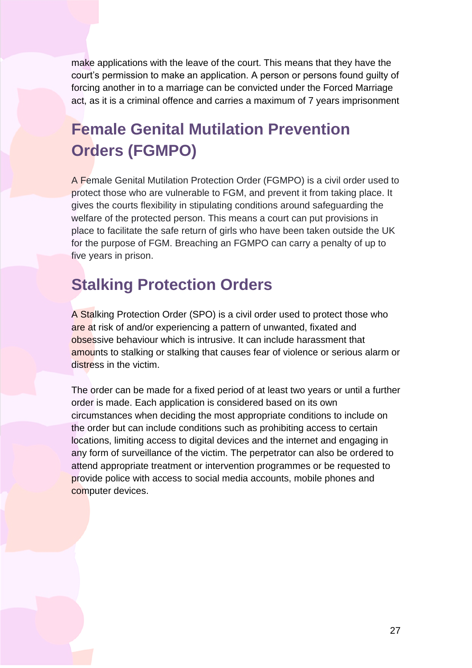court's permission to make an application. A person or persons found guilty of forcing another in to a marriage can be convicted under the Forced Marriage act, as it is a criminal offence and carries a maximum of 7 years imprisonment make applications with the leave of the court. This means that they have the

# **Female Genital Mutilation Prevention Orders (FGMPO)**

 welfare of the protected person. This means a court can put provisions in place to facilitate the safe return of girls who have been taken outside the UK A Female Genital Mutilation Protection Order (FGMPO) is a civil order used to protect those who are vulnerable to FGM, and prevent it from taking place. It gives the courts flexibility in stipulating conditions around safeguarding the for the purpose of FGM. Breaching an FGMPO can carry a penalty of up to five years in prison.

### **Stalking Protection Orders**

are at risk of and/or experiencing a pattern of unwanted, fixated and obsessive behaviour which is intrusive. It can include harassment that A Stalking Protection Order (SPO) is a civil order used to protect those who amounts to stalking or stalking that causes fear of violence or serious alarm or distress in the victim.

 circumstances when deciding the most appropriate conditions to include on any form of surveillance of the victim. The perpetrator can also be ordered to provide police with access to social media accounts, mobile phones and The order can be made for a fixed period of at least two years or until a further order is made. Each application is considered based on its own the order but can include conditions such as prohibiting access to certain locations, limiting access to digital devices and the internet and engaging in attend appropriate treatment or intervention programmes or be requested to computer devices.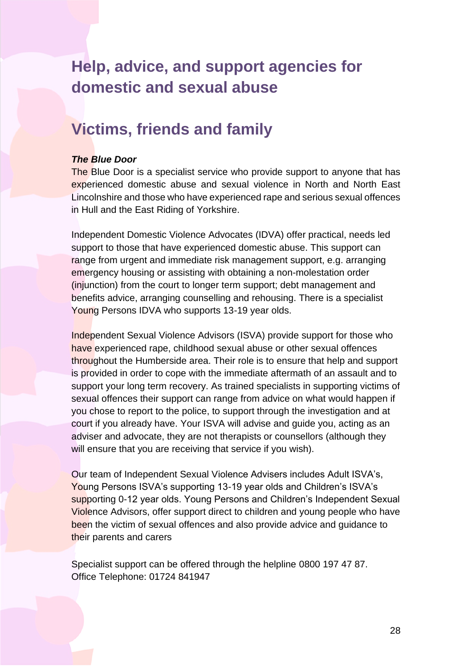### <span id="page-27-0"></span>**Help, advice, and support agencies for domestic and sexual abuse**

### **Victims, friends and family**

#### *The Blue Door*

The Blue Door is a specialist service who provide support to anyone that has experienced domestic abuse and sexual violence in North and North East Lincolnshire and those who have experienced rape and serious sexual offences in Hull and the East Riding of Yorkshire.

 emergency housing or assisting with obtaining a non-molestation order Independent Domestic Violence Advocates (IDVA) offer practical, needs led support to those that have experienced domestic abuse. This support can range from urgent and immediate risk management support, e.g. arranging (injunction) from the court to longer term support; debt management and benefits advice, arranging counselling and rehousing. There is a specialist Young Persons IDVA who supports 13-19 year olds.

 is provided in order to cope with the immediate aftermath of an assault and to Independent Sexual Violence Advisors (ISVA) provide support for those who have experienced rape, childhood sexual abuse or other sexual offences throughout the Humberside area. Their role is to ensure that help and support support your long term recovery. As trained specialists in supporting victims of sexual offences their support can range from advice on what would happen if you chose to report to the police, to support through the investigation and at court if you already have. Your ISVA will advise and guide you, acting as an adviser and advocate, they are not therapists or counsellors (although they will ensure that you are receiving that service if you wish).

Our team of Independent Sexual Violence Advisers includes Adult ISVA's, Young Persons ISVA's supporting 13-19 year olds and Children's ISVA's supporting 0-12 year olds. Young Persons and Children's Independent Sexual Violence Advisors, offer support direct to children and young people who have been the victim of sexual offences and also provide advice and guidance to their parents and carers

 Specialist support can be offered through the helpline 0800 197 47 87. Office Telephone: 01724 841947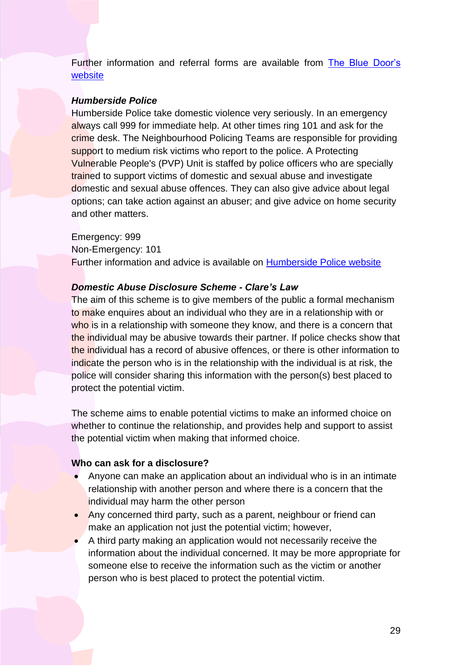Further information and referral forms are available from The Blue [Door's](https://www.thebluedoor.org/how-do-i-make-a-referral/) [website](https://www.thebluedoor.org/how-do-i-make-a-referral/) 

#### *Humberside Police*

always call 999 for immediate help. At other times ring 101 and ask for the options; can take action against an abuser; and give advice on home security Humberside Police take domestic violence very seriously. In an emergency crime desk. The Neighbourhood Policing Teams are responsible for providing support to medium risk victims who report to the police. A Protecting Vulnerable People's (PVP) Unit is staffed by police officers who are specially trained to support victims of domestic and sexual abuse and investigate domestic and sexual abuse offences. They can also give advice about legal and other matters.

Emergency: 999 Non-Emergency: 101 Further information and advice is available on [Humberside Police website](https://www.humberside.police.uk/domesticabuse) 

#### *Domestic Abuse Disclosure Scheme - Clare's Law*

 to make enquires about an individual who they are in a relationship with or police will consider sharing this information with the person(s) best placed to The aim of this scheme is to give members of the public a formal mechanism who is in a relationship with someone they know, and there is a concern that the individual may be abusive towards their partner. If police checks show that the individual has a record of abusive offences, or there is other information to indicate the person who is in the relationship with the individual is at risk, the protect the potential victim.

 The scheme aims to enable potential victims to make an informed choice on whether to continue the relationship, and provides help and support to assist the potential victim when making that informed choice.

#### **Who can ask for a disclosure?**

- Anyone can make an application about an individual who is in an intimate relationship with another person and where there is a concern that the individual may harm the other person
- Any concerned third party, such as a parent, neighbour or friend can make an application not just the potential victim; however,
- A third party making an application would not necessarily receive the information about the individual concerned. It may be more appropriate for someone else to receive the information such as the victim or another person who is best placed to protect the potential victim.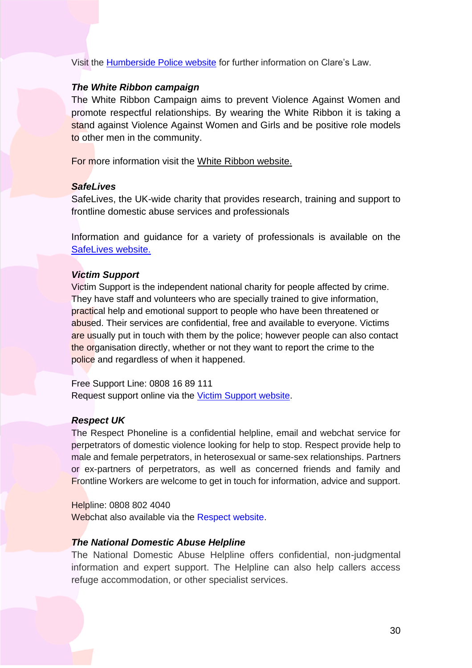Visit the <u>Humberside Police website</u> for further information on Clare's Law.

#### *The White Ribbon campaign*

 The White Ribbon Campaign aims to prevent Violence Against Women and promote respectful relationships. By wearing the White Ribbon it is taking a stand against Violence Against Women and Girls and be positive role models to other men in the community.

For more information visit the [White Ribbon website.](https://www.whiteribbon.org.uk/find-help/#committing-violence) 

#### *SafeLives*

 SafeLives, the UK-wide charity that provides research, training and support to frontline domestic abuse services and professionals

 Information and guidance for a variety of professionals is available on the [SafeLives website.](https://safelives.org.uk/) 

#### *Victim Support*

 Victim Support is the independent national charity for people affected by crime. They have staff and volunteers who are specially trained to give information, practical help and emotional support to people who have been threatened or abused. Their services are confidential, free and available to everyone. Victims are usually put in touch with them by the police; however people can also contact the organisation directly, whether or not they want to report the crime to the police and regardless of when it happened.

 Free Support Line: 0808 16 89 111 Request support online via the *Victim Support website*.

#### *Respect UK*

 The Respect Phoneline is a confidential helpline, email and webchat service for perpetrators of domestic violence looking for help to stop. Respect provide help to male and female perpetrators, in heterosexual or same-sex relationships. Partners or ex-partners of perpetrators, as well as concerned friends and family and **Frontline Workers are welcome to get in touch for information, advice and support.** 

 Helpline: 0808 802 4040 Webchat also available via the [Respect website.](https://respectphoneline.org.uk/)

#### *The National Domestic Abuse Helpline*

 The National Domestic Abuse Helpline offers confidential, non-judgmental information and expert support. The Helpline can also help callers access refuge accommodation, or other specialist services.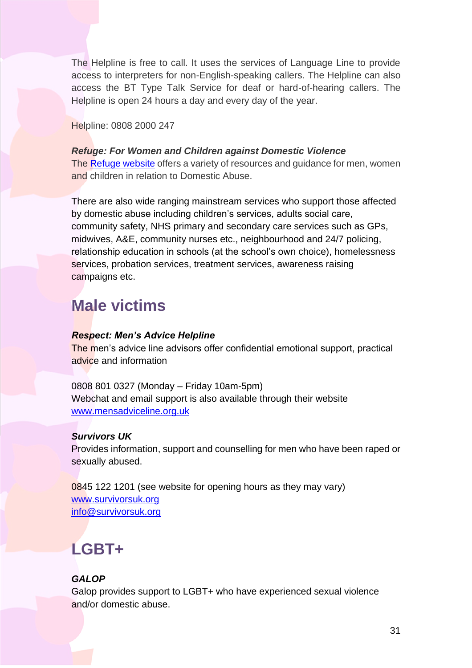The Helpline is free to call. It uses the services of Language Line to provide access to interpreters for non-English-speaking callers. The Helpline can also access the BT Type Talk Service for deaf or hard-of-hearing callers. The Helpline is open 24 hours a day and every day of the year.

Helpline: 0808 2000 247

The **Refuge website** offers a variety of resources and guidance for men, women *Refuge: For Women and Children against Domestic Violence*  and children in relation to Domestic Abuse.

 community safety, NHS primary and secondary care services such as GPs, There are also wide ranging mainstream services who support those affected by domestic abuse including children's services, adults social care, midwives, A&E, community nurses etc., neighbourhood and 24/7 policing, relationship education in schools (at the school's own choice), homelessness services, probation services, treatment services, awareness raising campaigns etc.

# **Male victims**

### *Respect: Men's Advice Helpline*

The men's advice line advisors offer confidential emotional support, practical advice and information

0808 801 0327 (Monday – Friday 10am-5pm) Webchat and email support is also available through their website [www.mensadviceline.org.uk](https://mensadviceline.org.uk/) 

### *Survivors UK*

 Provides information, support and counselling for men who have been raped or sexually abused.

0845 122 1201 (see website for opening hours as they may vary) [www.survivorsuk.org](http://www.survivorsuk.org/)  [info@survivorsuk.org](mailto:info@survivorsuk.org) 

# **LGBT+**

### *GALOP*

Galop provides support to LGBT+ who have experienced sexual violence and/or domestic abuse.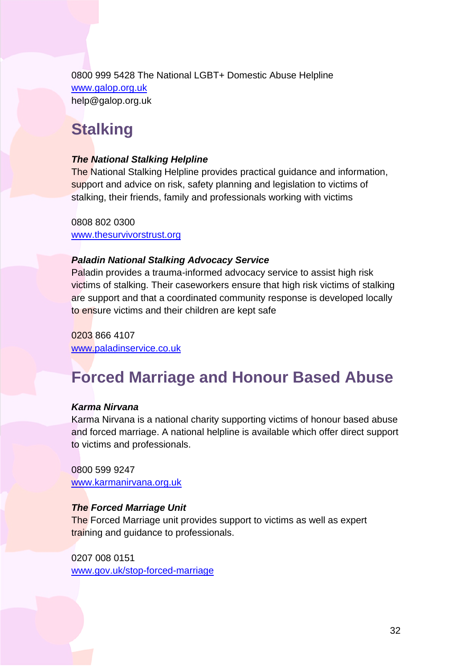0800 999 5428 The National LGBT+ Domestic Abuse Helpline [www.galop.org.uk](http://www.galop.org.uk/)  help@galop.org.uk

### **Stalking**

### *The National Stalking Helpline*

The National Stalking Helpline provides practical guidance and information, support and advice on risk, safety planning and legislation to victims of stalking, their friends, family and professionals working with victims

0808 802 0300 [www.thesurvivorstrust.org](https://www.thesurvivorstrust.org/faqs/national-stalking-helpline) 

### *Paladin National Stalking Advocacy Service*

Paladin provides a trauma-informed advocacy service to assist high risk victims of stalking. Their caseworkers ensure that high risk victims of stalking are support and that a coordinated community response is developed locally to ensure victims and their children are kept safe

0203 866 4107 [www.paladinservice.co.uk](http://www.paladinservice.co.uk/) 

# **Forced Marriage and Honour Based Abuse**

### *Karma Nirvana*

Karma Nirvana is a national charity supporting victims of honour based abuse and forced marriage. A national helpline is available which offer direct support to victims and professionals.

0800 599 9247 [www.karmanirvana.org.uk](https://www.karmanirvana.org.uk/) 

### *The Forced Marriage Unit*

The Forced Marriage unit provides support to victims as well as expert training and guidance to professionals.

0207 008 0151 [www.gov.uk/stop-forced-marriage](http://www.gov.uk/stop-forced-marriage)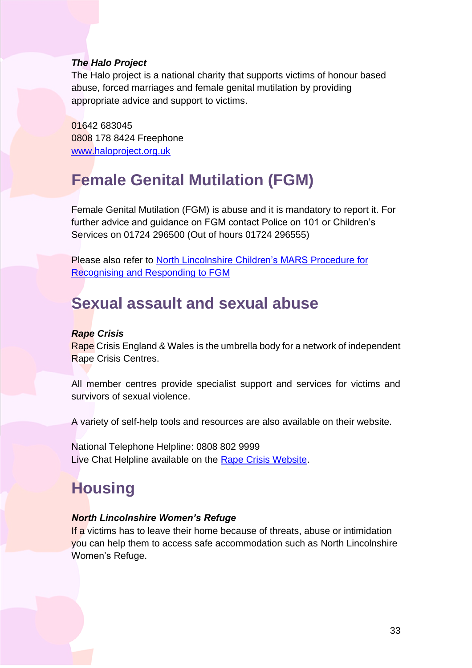#### *The Halo Project*

The Halo project is a national charity that supports victims of honour based abuse, forced marriages and female genital mutilation by providing appropriate advice and support to victims.

01642 683045 0808 178 8424 Freephone [www.haloproject.org.uk](http://www.haloproject.org.uk/) 

# **Female Genital Mutilation (FGM)**

Female Genital Mutilation (FGM) is abuse and it is mandatory to report it. For further advice and guidance on FGM contact Police on 101 or Children's Services on 01724 296500 (Out of hours 01724 296555)

Please also refer to [North Lincolnshire Children's MARS](http://www.northlincscmars.co.uk/policies-procedures-and-guidance/) Procedure for [Recognising and Responding to FGM](http://www.northlincscmars.co.uk/policies-procedures-and-guidance/) 

### **Sexual assault and sexual abuse**

#### *Rape Crisis*

Rape Crisis England & Wales is the umbrella body for a network of independent Rape Crisis Centres.

 All member centres provide specialist support and services for victims and survivors of sexual violence.

A variety of self-help tools and resources are also available on their website.

National Telephone Helpline: 0808 802 9999 Live Chat Helpline available on the [Rape Crisis Website.](https://rapecrisis.org.uk/get-help/)

# **Housing**

### *North Lincolnshire Women's Refuge*

If a victims has to leave their home because of threats, abuse or intimidation you can help them to access safe accommodation such as North Lincolnshire Women's Refuge.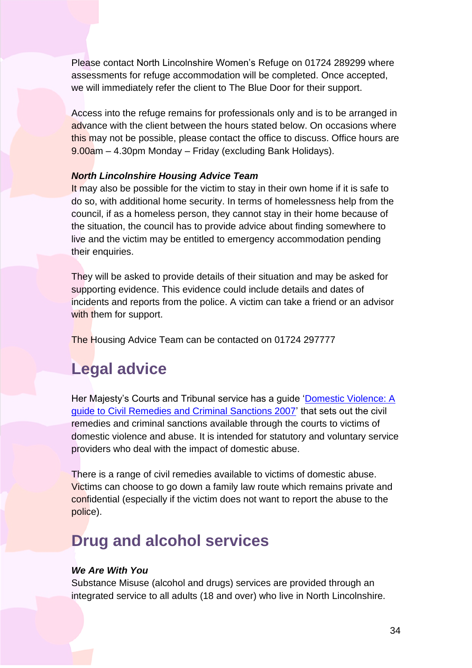Please contact North Lincolnshire Women's Refuge on 01724 289299 where assessments for refuge accommodation will be completed. Once accepted, we will immediately refer the client to The Blue Door for their support.

 Access into the refuge remains for professionals only and is to be arranged in advance with the client between the hours stated below. On occasions where t<mark>his m</mark>ay not be possible, please contact the office to discuss. Office hours are 9.00am – 4.30pm Monday – Friday (excluding Bank Holidays).

#### *North Lincolnshire Housing Advice Team*

 do so, with additional home security. In terms of homelessness help from the live and the victim may be entitled to emergency accommodation pending It may also be possible for the victim to stay in their own home if it is safe to council, if as a homeless person, they cannot stay in their home because of the situation, the council has to provide advice about finding somewhere to their enquiries.

 They will be asked to provide details of their situation and may be asked for incidents and reports from the police. A victim can take a friend or an advisor supporting evidence. This evidence could include details and dates of with them for support.

The Housing Advice Team can be contacted on 01724 297777

### **Legal advice**

 domestic violence and abuse. It is intended for statutory and voluntary service Her Majesty's Courts and Tribunal service has a guide ['Domestic Violence: A](https://1q7dqy2unor827bqjls0c4rn-wpengine.netdna-ssl.com/wp-content/uploads/2016/01/Criminal-Civil-remedies.pdf)  [guide to Civil Remedies and Criminal Sanctions 2007'](https://1q7dqy2unor827bqjls0c4rn-wpengine.netdna-ssl.com/wp-content/uploads/2016/01/Criminal-Civil-remedies.pdf) that sets out the civil remedies and criminal sanctions available through the courts to victims of providers who deal with the impact of domestic abuse.

Victims can choose to go down a family law route which remains private and confidential (especially if the victim does not want to report the abuse to the There is a range of civil remedies available to victims of domestic abuse. police).

### **Drug and alcohol services**

#### *We Are With You*

 integrated service to all adults (18 and over) who live in North Lincolnshire. Substance Misuse (alcohol and drugs) services are provided through an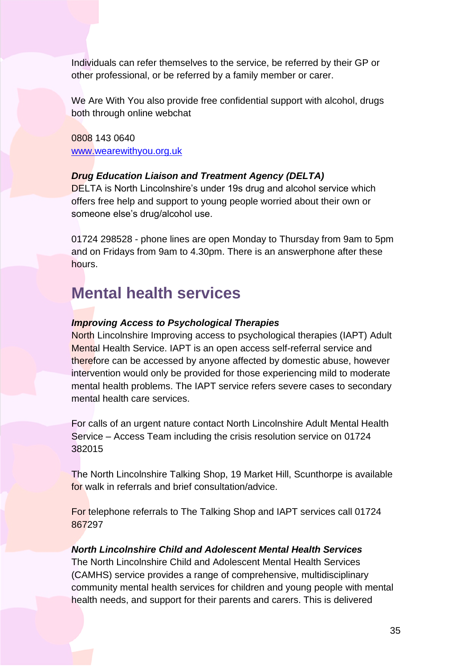Individuals can refer themselves to the service, be referred by their GP or other professional, or be referred by a family member or carer.

We Are With You also provide free confidential support with alcohol, drugs both through online webchat

0808 143 0640 [www.wearewithyou.org.uk](https://www.wearewithyou.org.uk/services/north-lincolnshire/) 

### *Drug Education Liaison and Treatment Agency (DELTA)*

DELTA is North Lincolnshire's under 19s drug and alcohol service which offers free help and support to young people worried about their own or someone else's drug/alcohol use.

[01724 298528](tel:01724%20298528) - phone lines are open Monday to Thursday from 9am to 5pm and on Fridays from 9am to 4.30pm. There is an answerphone after these hours.

### **Mental health services**

#### *Improving Access to Psychological Therapies*

 Mental Health Service. IAPT is an open access self-referral service and North Lincolnshire Improving access to psychological therapies (IAPT) Adult therefore can be accessed by anyone affected by domestic abuse, however intervention would only be provided for those experiencing mild to moderate mental health problems. The IAPT service refers severe cases to secondary mental health care services.

 Service – Access Team including the crisis resolution service on 01724 For calls of an urgent nature contact North Lincolnshire Adult Mental Health 382015

The North Lincolnshire Talking Shop, 19 Market Hill, Scunthorpe is available for walk in referrals and brief consultation/advice.

For telephone referrals to The Talking Shop and IAPT services call 01724 867297

#### *North Lincolnshire Child and Adolescent Mental Health Services*

The North Lincolnshire Child and Adolescent Mental Health Services (CAMHS) service provides a range of comprehensive, multidisciplinary community mental health services for children and young people with mental health needs, and support for their parents and carers. This is delivered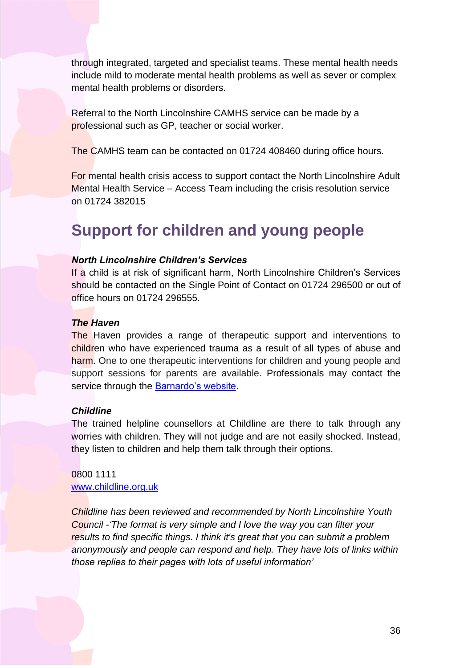include mild to moderate mental health problems as well as sever or complex through integrated, targeted and specialist teams. These mental health needs mental health problems or disorders.

 Referral to the North Lincolnshire CAMHS service can be made by a professional such as GP, teacher or social worker.

The CAMHS team can be contacted on 01724 408460 during office hours.

 Mental Health Service – Access Team including the crisis resolution service For mental health crisis access to support contact the North Lincolnshire Adult on 01724 382015

### **Support for children and young people**

### *North Lincolnshire Children's Services*

 If a child is at risk of significant harm, North Lincolnshire Children's Services should be contacted on the Single Point of Contact on 01724 296500 or out of office hours on 01724 296555.

#### *The Haven*

The Haven provides a range of therapeutic support and interventions to children who have experienced trauma as a result of all types of abuse and harm. One to one therapeutic interventions for children and young people and service through the <u>Barnardo's website</u>. support sessions for parents are available. Professionals may contact the

#### *Childline*

 The trained helpline counsellors at Childline are there to talk through any worries with children. They will not judge and are not easily shocked. Instead, they listen to children and help them talk through their options.

#### 0800 1111 [www.childline.org.uk](http://www.childline.org.uk/)

*Childline has been* r*eviewed and recommended by North Lincolnshire Youth Council -'The format is very simple and I love the way you can filter your results to find specific things. I think it's great that you can submit a problem anonymously and people can respond and help. They have lots of links within those replies to their pages with lots of useful information'*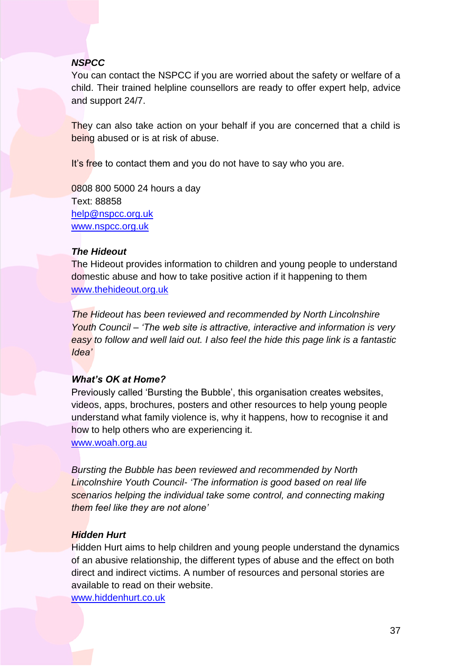### *NSPCC*

 child. Their trained helpline counsellors are ready to offer expert help, advice You can contact the NSPCC if you are worried about the safety or welfare of a and support 24/7.

They can also take action on your behalf if you are concerned that a child is being abused or is at risk of abuse.

It's free to contact them and you do not have to say who you are.

0808 800 5000 24 hours a day Text: 88858 [help@nspcc.org.uk](mailto:help@nspcc.org.uk)  [www.nspcc.org.uk](http://www.nspcc.org.uk/) 

### *The Hideout*

The Hideout provides information to children and young people to understand domestic abuse and how to take positive action if it happening to them [www.thehideout.org.uk](http://www.thehideout.org.uk/) 

*The Hideout has been* r*eviewed and recommended by North Lincolnshire Youth Council – 'The web site is attractive, interactive and information is very easy to follow and well laid out. I also feel the hide this page link is a fantastic Idea'*

### *What's OK at Home?*

Previously called 'Bursting the Bubble', this organisation creates websites, videos, apps, brochures, posters and other resources to help young people understand what family violence is, why it happens, how to recognise it and how to help others who are experiencing it.

[www.woah.org.au](https://woah.org.au/) 

 *Bursting the Bubble has been* r*eviewed and recommended by North Lincolnshire Youth Council- 'The information is good based on real life scenarios helping the individual take some control, and connecting making them feel like they are not alone'*

### *Hidden Hurt*

 Hidden Hurt aims to help children and young people understand the dynamics of an abusive relationship, the different types of abuse and the effect on both available to read on their website. direct and indirect victims. A number of resources and personal stories are

[www.hiddenhurt.co.uk](http://www.hiddenhurt.co.uk/domestic_violence_and_children.html)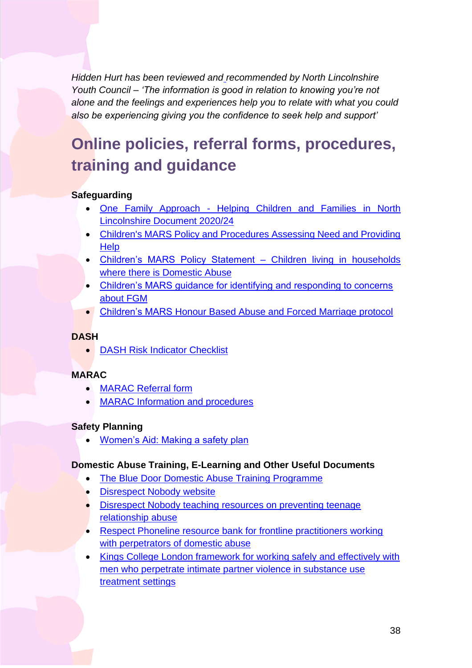*alone and the feelings and experiences help you to relate with what you could Hidden Hurt has been* r*eviewed and recommended by North Lincolnshire Youth Council – 'The information is good in relation to knowing you're not also be experiencing giving you the confidence to seek help and support'*

# <span id="page-37-0"></span>**Online policies, referral forms, procedures, training and guidance**

### **Safeguarding**

- • One Family Approach [Helping Children and Families in North](https://www.northlincscmars.co.uk/policies-procedures-and-guidance/)  [Lincolnshire Document 2020/24](https://www.northlincscmars.co.uk/policies-procedures-and-guidance/)
- Children's MARS Policy and Procedures Assessing Need and Providing **Help**
- • [Children's MARS Policy Statement –](https://www.northlincscmars.co.uk/policies-procedures-and-guidance/) Children living in households [where there is Domestic Abuse](https://www.northlincscmars.co.uk/policies-procedures-and-guidance/)
- Children's MARS guidance [for identifying and responding to concerns](https://www.northlincscmars.co.uk/policies-procedures-and-guidance/)  [about FGM](https://www.northlincscmars.co.uk/policies-procedures-and-guidance/)
- Children's MARS [Honour Based Abuse and Forced Marriage protocol](https://www.northlincscmars.co.uk/policies-procedures-and-guidance/)

### **DASH**

• [DASH Risk Indicator Checklist](https://www.northlincs.gov.uk/community-advice-and-support/crime-and-community-safety/#1606397487958-8b7f09c0-c746) 

### **MARAC**

- [MARAC Referral form](https://www.saferneighbourhoods.net/domestic-abuse/marac/)
- [MARAC Information and procedures](https://www.saferneighbourhoods.net/domestic-abuse/marac/)

### **Safety Planning**

• [Women's Aid: Making](https://www.womensaid.org.uk/the-survivors-handbook/making-a-safety-plan/) a safety plan

### **Domestic Abuse Training, E-Learning and Other Useful Documents**

- The Blue Door Domestic Abuse Training Programme
- [Disrespect Nobody](https://www.disrespectnobody.co.uk/) website
- [Disrespect Nobody teaching resources on preventing teenage](https://www.pshe-association.org.uk/curriculum-and-resources/resources/disrespect-nobody-teaching-resources-preventing)  [relationship abuse](https://www.pshe-association.org.uk/curriculum-and-resources/resources/disrespect-nobody-teaching-resources-preventing)
- [Respect Phoneline resource bank for frontline practitioners working](https://respectphoneline.org.uk/frontline-workers/)  with perpetrators of domestic abuse
- Kings College London framework for working safely and effectively with [men who perpetrate intimate partner violence in substance use](https://www.kcl.ac.uk/ioppn/depts/addictions/research/drugs/PROTECT-files/project-outputs-Men-Substance-Use-Relationships-Study)  [treatment settings](https://www.kcl.ac.uk/ioppn/depts/addictions/research/drugs/PROTECT-files/project-outputs-Men-Substance-Use-Relationships-Study)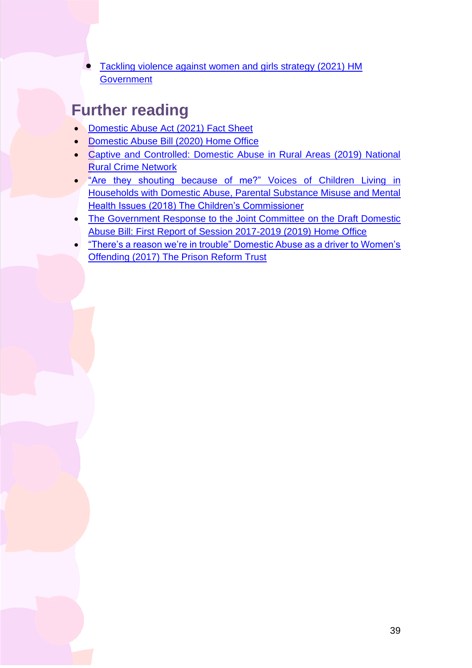• [Tackling violence against women and girls strategy \(2021\) HM](https://www.gov.uk/government/publications/tackling-violence-against-women-and-girls-strategy)  **Government** 

### <span id="page-38-0"></span>**Further reading**

- [Domestic Abuse Act \(2021\) Fact Sheet](https://www.gov.uk/government/publications/domestic-abuse-bill-2020-factsheets/domestic-abuse-bill-2020-overarching-factsheet)
- [Domestic Abuse Bill \(2020\) Home Office](https://www.gov.uk/government/publications/domestic-abuse-bill-2020-overarching-documents?utm_source=5b9c0d79-032c-420d-a321-60466e30b49a&utm_medium=email&utm_campaign=govuk-notifications&utm_content=weekly)
- • [Captive and Controlled: Domestic Abuse in Rural Areas \(2019\) National](https://www.ruralabuse.co.uk/wp-content/uploads/2019/07/Domestic-Abuse-in-Rural-Areas-National-Rural-Crime-Network.pdf)  [Rural Crime Network](https://www.ruralabuse.co.uk/wp-content/uploads/2019/07/Domestic-Abuse-in-Rural-Areas-National-Rural-Crime-Network.pdf)
- • "Are they shouting because [of me?" Voices of Children Living in](https://www.childrenscommissioner.gov.uk/wp-content/uploads/2018/08/Are-they-shouting-because-of-me.pdf)  [Households with Domestic Abuse, Parental Substance Misuse and Mental](https://www.childrenscommissioner.gov.uk/wp-content/uploads/2018/08/Are-they-shouting-because-of-me.pdf)  [Health Issues \(2018\) The Children's Commissioner](https://www.childrenscommissioner.gov.uk/wp-content/uploads/2018/08/Are-they-shouting-because-of-me.pdf)
- The Government Response to the Joint Committee on the Draft Domestic [Abuse Bill: First Report of Session 2017-2019 \(2019\) Home Office](https://www.gov.uk/government/publications/government-response-to-the-report-from-the-joint-committee-on-the-draft-domestic-abuse-bill)
- <span id="page-38-1"></span> • "There's a reason [we're in trouble" Domestic Abuse](http://www.prisonreformtrust.org.uk/Portals/0/Documents/Domestic_abuse_report_final_lo.pdf) as a driver to Women's [Offending \(2017\) The Prison Reform Trust](http://www.prisonreformtrust.org.uk/Portals/0/Documents/Domestic_abuse_report_final_lo.pdf)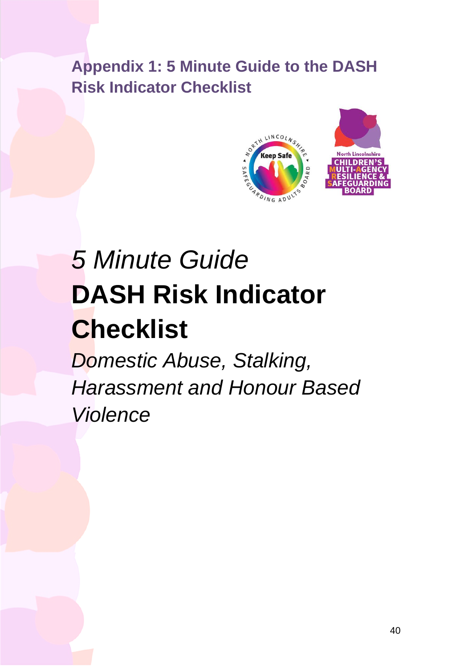**Appendix 1: 5 Minute Guide to the DASH Risk Indicator Checklist** 



# *5 Minute Guide*  **DASH Risk Indicator Checklist**

*Domestic Abuse, Stalking, Harassment and Honour Based Violence*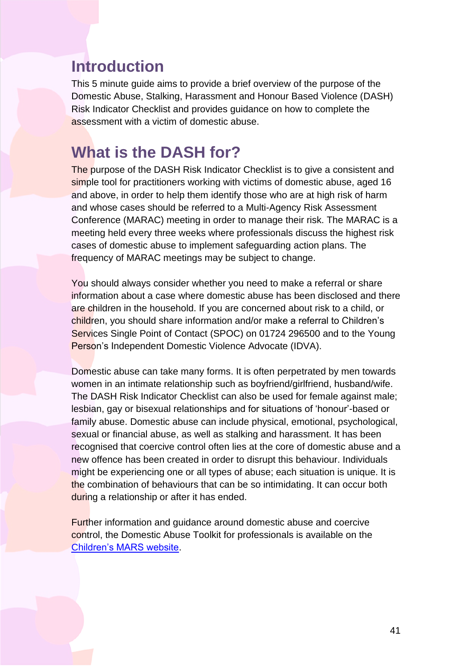### **Introduction**

This 5 minute guide aims to provide a brief overview of the purpose of the Domestic Abuse, Stalking, Harassment and Honour Based Violence (DASH) Risk Indicator Checklist and provides guidance on how to complete the assessment with a victim of domestic abuse.

### **What is the DASH for?**

 and whose cases should be referred to a Multi-Agency Risk Assessment The purpose of the DASH Risk Indicator Checklist is to give a consistent and simple tool for practitioners working with victims of domestic abuse, aged 16 and above, in order to help them identify those who are at high risk of harm Conference (MARAC) meeting in order to manage their risk. The MARAC is a meeting held every three weeks where professionals discuss the highest risk cases of domestic abuse to implement safeguarding action plans. The frequency of MARAC meetings may be subject to change.

You should always consider whether you need to make a referral or share information about a case where domestic abuse has been disclosed and there are children in the household. If you are concerned about risk to a child, or children, you should share information and/or make a referral to Children's Services Single Point of Contact (SPOC) on 01724 296500 and to the Young Person's Independent Domestic Violence Advocate (IDVA).

 sexual or financial abuse, as well as stalking and harassment. It has been recognised that coercive control often lies at the core of domestic abuse and a might be experiencing one or all types of abuse; each situation is unique. It is the combination of behaviours that can be so intimidating. It can occur both Domestic abuse can take many forms. It is often perpetrated by men towards women in an intimate relationship such as boyfriend/girlfriend, husband/wife. The DASH Risk Indicator Checklist can also be used for female against male; lesbian, gay or bisexual relationships and for situations of 'honour'-based or family abuse. Domestic abuse can include physical, emotional, psychological, new offence has been created in order to disrupt this behaviour. Individuals during a relationship or after it has ended.

Further information and guidance around domestic abuse and coercive control, the Domestic Abuse Toolkit for professionals is available on the [Children's MARS website.](https://www.northlincscmars.co.uk/resources/)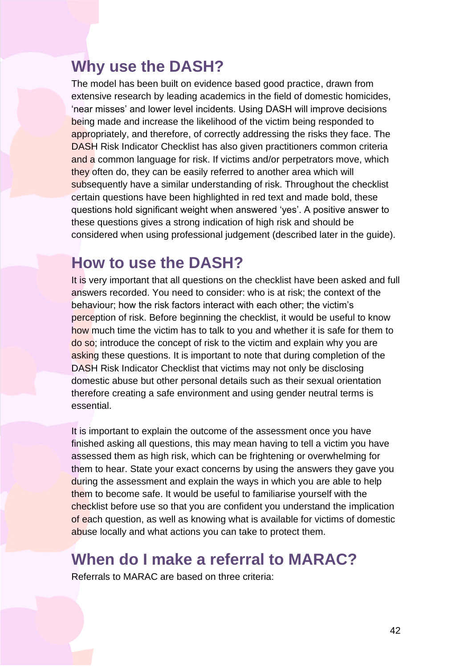### **Why use the DASH?**

 The model has been built on evidence based good practice, drawn from DASH Risk Indicator Checklist has also given practitioners common criteria certain questions have been highlighted in red text and made bold, these extensive research by leading academics in the field of domestic homicides, 'near misses' and lower level incidents. Using DASH will improve decisions being made and increase the likelihood of the victim being responded to appropriately, and therefore, of correctly addressing the risks they face. The and a common language for risk. If victims and/or perpetrators move, which they often do, they can be easily referred to another area which will subsequently have a similar understanding of risk. Throughout the checklist questions hold significant weight when answered 'yes'. A positive answer to these questions gives a strong indication of high risk and should be considered when using professional judgement (described later in the guide).

### **How to use the DASH?**

asking these questions. It is important to note that during completion of the It is very important that all questions on the checklist have been asked and full answers recorded. You need to consider: who is at risk; the context of the behaviour; how the risk factors interact with each other; the victim's perception of risk. Before beginning the checklist, it would be useful to know how much time the victim has to talk to you and whether it is safe for them to do so; introduce the concept of risk to the victim and explain why you are DASH Risk Indicator Checklist that victims may not only be disclosing domestic abuse but other personal details such as their sexual orientation therefore creating a safe environment and using gender neutral terms is essential.

 It is important to explain the outcome of the assessment once you have finished asking all questions, this may mean having to tell a victim you have them to become safe. It would be useful to familiarise yourself with the assessed them as high risk, which can be frightening or overwhelming for them to hear. State your exact concerns by using the answers they gave you during the assessment and explain the ways in which you are able to help checklist before use so that you are confident you understand the implication of each question, as well as knowing what is available for victims of domestic abuse locally and what actions you can take to protect them.

### **When do I make a referral to MARAC?**

Referrals to MARAC are based on three criteria: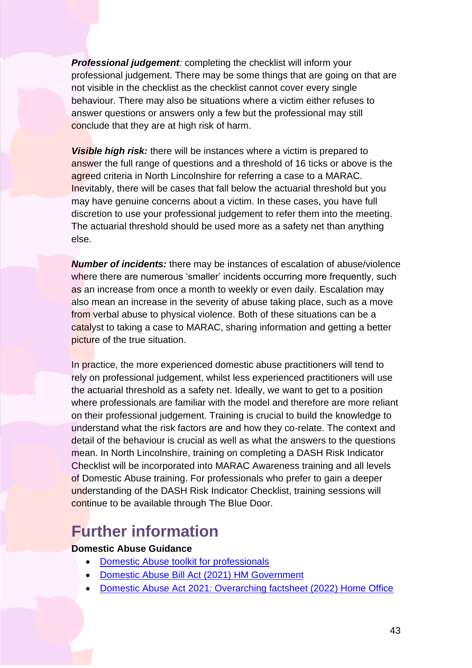*Professional judgement:* completing the checklist will inform your professional judgement. There may be some things that are going on that are not visible in the checklist as the checklist cannot cover every single behaviour. There may also be situations where a victim either refuses to answer questions or answers only a few but the professional may still conclude that they are at high risk of harm.

 *Visible high risk:* there will be instances where a victim is prepared to discretion to use your professional judgement to refer them into the meeting. The actuarial threshold should be used more as a safety net than anything answer the full range of questions and a threshold of 16 ticks or above is the agreed criteria in North Lincolnshire for referring a case to a MARAC. Inevitably, there will be cases that fall below the actuarial threshold but you may have genuine concerns about a victim. In these cases, you have full else.

 as an increase from once a month to weekly or even daily. Escalation may also mean an increase in the severity of abuse taking place, such as a move from verbal abuse to physical violence. Both of these situations can be a *Number of incidents:* there may be instances of escalation of abuse/violence where there are numerous 'smaller' incidents occurring more frequently, such catalyst to taking a case to MARAC, sharing information and getting a better picture of the true situation.

In practice, the more experienced domestic abuse practitioners will tend to the actuarial threshold as a safety net. Ideally, we want to get to a position detail of the behaviour is crucial as well as what the answers to the questions Checklist will be incorporated into MARAC Awareness training and all levels rely on professional judgement, whilst less experienced practitioners will use where professionals are familiar with the model and therefore are more reliant on their professional judgement. Training is crucial to build the knowledge to understand what the risk factors are and how they co-relate. The context and mean. In North Lincolnshire, training on completing a DASH Risk Indicator of Domestic Abuse training. For professionals who prefer to gain a deeper understanding of the DASH Risk Indicator Checklist, training sessions will continue to be available through The Blue Door.

### **Further information**

### **Domestic Abuse Guidance**

- [Domestic Abuse toolkit for professionals](http://www.northlincscmars.co.uk/resources/)
- [Domestic Abuse Bill Act \(2021\) HM Government](https://www.legislation.gov.uk/ukpga/2021/17/contents/enacted)
- [Domestic Abuse Act 2021: Overarching factsheet \(2022\) Home Office](https://www.gov.uk/government/publications/domestic-abuse-bill-2020-factsheets/domestic-abuse-bill-2020-overarching-factsheet)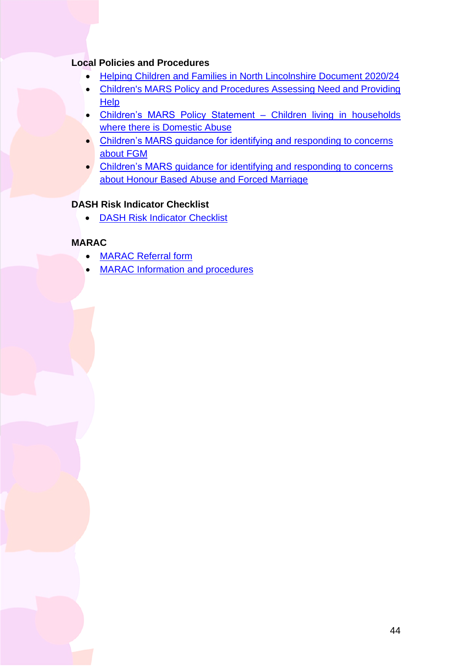#### **Local Policies and Procedures**

- [Helping Children and Families in North Lincolnshire Document 2020/24](https://www.northlincscmars.co.uk/policies-procedures-and-guidance/)
- • [Children's MARS Policy and Procedures Assessing Need and Providing](https://www.northlincscmars.co.uk/policies-procedures-and-guidance/)  **Help**
- • [Children's MARS Policy Statement –](https://www.northlincscmars.co.uk/policies-procedures-and-guidance/) Children living in households where there is Domestic Abuse
- Children's MARS guidance [for identifying and responding to concerns](https://www.northlincscmars.co.uk/policies-procedures-and-guidance/)  [about FGM](https://www.northlincscmars.co.uk/policies-procedures-and-guidance/)
- Children's MARS quidance for identifying and responding to concerns [about Honour Based Abuse and Forced Marriage](https://www.northlincscmars.co.uk/policies-procedures-and-guidance/)

### **DASH Risk Indicator Checklist**

• [DASH Risk Indicator Checklist](https://www.northlincs.gov.uk/community-advice-and-support/crime-and-community-safety/#1606397487958-8b7f09c0-c746) 

### **MARAC**

- [MARAC Referral form](https://www.saferneighbourhoods.net/domestic-abuse/marac/)
- MARAC Information and procedures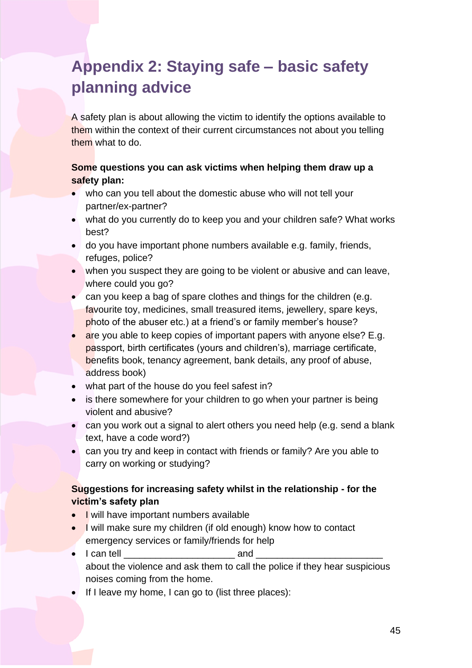# <span id="page-44-0"></span>**Appendix 2: Staying safe – basic safety planning advice**

them within the context of their current circumstances not about you telling A safety plan is about allowing the victim to identify the options available to them what to do.

### **Some questions you can ask victims when helping them draw up a safety plan:**

- who can you tell about the domestic abuse who will not tell your partner/ex-partner?
- what do you currently do to keep you and your children safe? What works best?
- do you have important phone numbers available e.g. family, friends, refuges, police?
- • when you suspect they are going to be violent or abusive and can leave, where could you go?
- • can you keep a bag of spare clothes and things for the children (e.g. favourite toy, medicines, small treasured items, jewellery, spare keys, photo of the abuser etc.) at a friend's or family member's house?
- are you able to keep copies of important papers with anyone else? E.g. passport, birth certificates (yours and children's), marriage certificate, benefits book, tenancy agreement, bank details, any proof of abuse, address book)
- what part of the house do you feel safest in?
- is there somewhere for your children to go when your partner is being violent and abusive?
- • can you work out a signal to alert others you need help (e.g. send a blank text, have a code word?)
- can you try and keep in contact with friends or family? Are you able to carry on working or studying?

### **Suggestions for increasing safety whilst in the relationship - for the victim's safety plan**

- I will have important numbers available
- I will make sure my children (if old enough) know how to contact emergency services or family/friends for help
- I can tell **and** and about the violence and ask them to call the police if they hear suspicious noises coming from the home.
- If I leave my home, I can go to (list three places):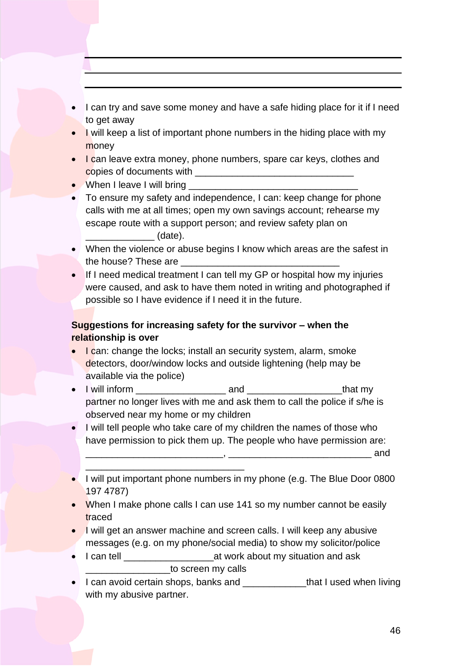- • I can try and save some money and have a safe hiding place for it if I need to get away
- I will keep a list of important phone numbers in the hiding place with my money
- I can leave extra money, phone numbers, spare car keys, clothes and copies of documents with \_\_\_\_\_\_\_\_\_\_\_\_\_\_\_\_\_\_\_\_\_\_\_\_\_\_\_\_\_\_
- When I leave I will bring
- To ensure my safety and independence, I can: keep change for phone calls with me at all times; open my own savings account; rehearse my escape route with a support person; and review safety plan on \_\_\_\_\_\_\_\_\_\_\_\_\_ (date).
- • When the violence or abuse begins I know which areas are the safest in the house? These are
- If I need medical treatment I can tell my GP or hospital how my injuries were caused, and ask to have them noted in writing and photographed if possible so I have evidence if I need it in the future.

### **Suggestions for increasing safety for the survivor – when the relationship is over**

- I can: change the locks; install an security system, alarm, smoke detectors, door/window locks and outside lightening (help may be available via the police)
- partner no longer lives with me and ask them to call the police if s/he is • I will inform \_\_\_\_\_\_\_\_\_\_\_\_\_\_\_\_\_ and \_\_\_\_\_\_\_\_\_\_\_\_\_\_\_\_\_\_that my observed near my home or my children
- • I will tell people who take care of my children the names of those who have permission to pick them up. The people who have permission are:  $\blacksquare$  and
- I will put important phone numbers in my phone (e.g. The Blue Door 0800 197 4787)
- When I make phone calls I can use 141 so my number cannot be easily traced
- I will get an answer machine and screen calls. I will keep any abusive messages (e.g. on my phone/social media) to show my solicitor/police
- \_\_\_\_\_\_\_\_\_\_\_\_\_\_\_\_to screen my calls • I can tell \_\_\_\_\_\_\_\_\_\_\_\_\_\_\_\_\_at work about my situation and ask

\_\_\_\_\_\_\_\_\_\_\_\_\_\_\_\_\_\_\_\_\_\_\_\_\_\_\_\_\_\_

• I can avoid certain shops, banks and \_\_\_\_\_\_\_\_\_\_\_\_\_\_that I used when living with my abusive partner.